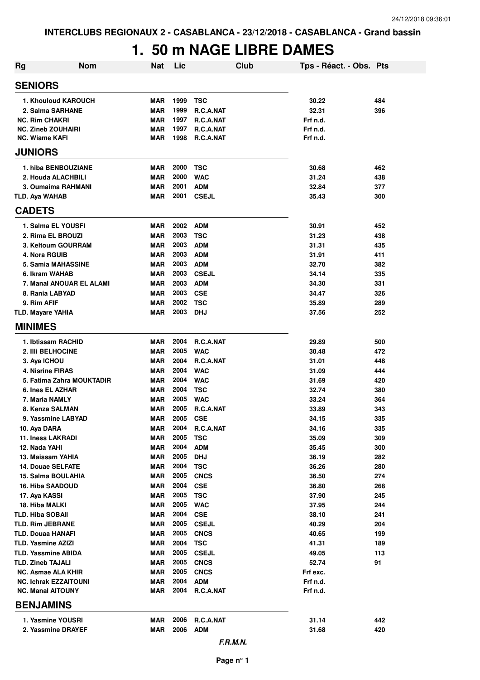## **1. 50 m NAGE LIBRE DAMES**

| <b>Rg</b>                                          | <b>Nom</b>                | <b>Nat</b>               | Lic          | Club                       | Tps - Réact. - Obs. Pts |            |
|----------------------------------------------------|---------------------------|--------------------------|--------------|----------------------------|-------------------------|------------|
| <b>SENIORS</b>                                     |                           |                          |              |                            |                         |            |
|                                                    | 1. Khouloud KAROUCH       | <b>MAR</b>               | 1999         | <b>TSC</b>                 | 30.22                   | 484        |
| 2. Salma SARHANE                                   |                           | <b>MAR</b>               | 1999         | R.C.A.NAT                  | 32.31                   | 396        |
| <b>NC. Rim CHAKRI</b>                              |                           | <b>MAR</b>               | 1997         | R.C.A.NAT                  | Frf n.d.                |            |
| <b>NC. Zineb ZOUHAIRI</b>                          |                           | <b>MAR</b>               | 1997         | R.C.A.NAT                  | Frf n.d.                |            |
| <b>NC. Wiame KAFI</b><br><b>JUNIORS</b>            |                           | <b>MAR</b>               | 1998         | R.C.A.NAT                  | Frf n.d.                |            |
|                                                    |                           |                          |              |                            |                         |            |
|                                                    | 1. hiba BENBOUZIANE       | <b>MAR</b>               | 2000         | <b>TSC</b>                 | 30.68                   | 462        |
| 2. Houda ALACHBILI                                 |                           | <b>MAR</b>               | 2000         | <b>WAC</b>                 | 31.24                   | 438        |
|                                                    | 3. Oumaima RAHMANI        | <b>MAR</b>               | 2001         | <b>ADM</b>                 | 32.84                   | 377        |
| <b>TLD. Aya WAHAB</b><br><b>CADETS</b>             |                           | <b>MAR</b>               | 2001         | <b>CSEJL</b>               | 35.43                   | 300        |
| 1. Salma EL YOUSFI                                 |                           | <b>MAR</b>               | 2002         | <b>ADM</b>                 | 30.91                   | 452        |
| 2. Rima EL BROUZI                                  |                           | <b>MAR</b>               | 2003         | <b>TSC</b>                 | 31.23                   | 438        |
|                                                    | 3. Keltoum GOURRAM        | <b>MAR</b>               | 2003         | <b>ADM</b>                 | 31.31                   | 435        |
| 4. Nora RGUIB                                      |                           | <b>MAR</b>               | 2003         | <b>ADM</b>                 | 31.91                   | 411        |
|                                                    | 5. Samia MAHASSINE        | <b>MAR</b>               | 2003         | <b>ADM</b>                 | 32.70                   | 382        |
| 6. Ikram WAHAB                                     |                           | <b>MAR</b>               | 2003         | <b>CSEJL</b>               | 34.14                   | 335        |
|                                                    | 7. Manal ANOUAR EL ALAMI  | <b>MAR</b>               | 2003         | <b>ADM</b>                 | 34.30                   | 331        |
| 8. Rania LABYAD                                    |                           | <b>MAR</b>               | 2003         | <b>CSE</b>                 | 34.47                   | 326        |
| 9. Rim AFIF                                        |                           | <b>MAR</b>               | 2002         | <b>TSC</b>                 | 35.89                   | 289        |
| <b>TLD. Mayare YAHIA</b><br><b>MINIMES</b>         |                           | <b>MAR</b>               | 2003         | <b>DHJ</b>                 | 37.56                   | 252        |
|                                                    |                           |                          |              |                            |                         |            |
| 1. Ibtissam RACHID                                 |                           | <b>MAR</b>               | 2004         | R.C.A.NAT                  | 29.89                   | 500        |
| 2. IIIi BELHOCINE                                  |                           | <b>MAR</b>               | 2005         | <b>WAC</b>                 | 30.48                   | 472        |
| 3. Aya ICHOU                                       |                           | <b>MAR</b>               | 2004         | R.C.A.NAT                  | 31.01                   | 448        |
| 4. Nisrine FIRAS                                   |                           | <b>MAR</b>               | 2004         | <b>WAC</b>                 | 31.09                   | 444        |
| 6. Ines EL AZHAR                                   | 5. Fatima Zahra MOUKTADIR | <b>MAR</b><br><b>MAR</b> | 2004<br>2004 | <b>WAC</b><br><b>TSC</b>   | 31.69<br>32.74          | 420<br>380 |
| 7. Maria NAMLY                                     |                           | <b>MAR</b>               | 2005         | <b>WAC</b>                 | 33.24                   | 364        |
| 8. Kenza SALMAN                                    |                           | <b>MAR</b>               | 2005         | R.C.A.NAT                  | 33.89                   | 343        |
| 9. Yassmine LABYAD                                 |                           | <b>MAR</b>               | 2005         | <b>CSE</b>                 | 34.15                   | 335        |
| 10. Aya DARA                                       |                           | MAR                      | 2004         | R.C.A.NAT                  | 34.16                   | 335        |
| 11. Iness LAKRADI                                  |                           | <b>MAR</b>               | 2005         | <b>TSC</b>                 | 35.09                   | 309        |
| 12. Nada YAHI                                      |                           | <b>MAR</b>               | 2004         | <b>ADM</b>                 | 35.45                   | 300        |
| 13. Maissam YAHIA                                  |                           | <b>MAR</b>               | 2005         | <b>DHJ</b>                 | 36.19                   | 282        |
| <b>14. Douae SELFATE</b>                           |                           | <b>MAR</b>               | 2004         | <b>TSC</b>                 | 36.26                   | 280        |
| 15. Salma BOULAHIA                                 |                           | <b>MAR</b>               | 2005         | <b>CNCS</b>                | 36.50                   | 274        |
| 16. Hiba SAADOUD                                   |                           | MAR                      | 2004         | <b>CSE</b>                 | 36.80                   | 268        |
| 17. Aya KASSI                                      |                           | <b>MAR</b>               | 2005         | <b>TSC</b>                 | 37.90                   | 245        |
| 18. Hiba MALKI                                     |                           | <b>MAR</b>               | 2005<br>2004 | <b>WAC</b>                 | 37.95                   | 244        |
| <b>TLD. Hiba SOBAII</b><br><b>TLD. Rim JEBRANE</b> |                           | <b>MAR</b><br><b>MAR</b> | 2005         | <b>CSE</b><br><b>CSEJL</b> | 38.10<br>40.29          | 241<br>204 |
| <b>TLD. Douaa HANAFI</b>                           |                           | <b>MAR</b>               | 2005         | <b>CNCS</b>                | 40.65                   | 199        |
| <b>TLD. Yasmine AZIZI</b>                          |                           | MAR                      | 2004         | <b>TSC</b>                 | 41.31                   | 189        |
| <b>TLD. Yassmine ABIDA</b>                         |                           | <b>MAR</b>               | 2005         | <b>CSEJL</b>               | 49.05                   | 113        |
| <b>TLD. Zineb TAJALI</b>                           |                           | <b>MAR</b>               | 2005         | <b>CNCS</b>                | 52.74                   | 91         |
| <b>NC. Asmae ALA KHIR</b>                          |                           | MAR                      | 2005         | <b>CNCS</b>                | Frf exc.                |            |
| <b>NC. Ichrak EZZAITOUNI</b>                       |                           | <b>MAR</b>               | 2004         | <b>ADM</b>                 | Frf n.d.                |            |
| <b>NC. Manal AITOUNY</b>                           |                           | <b>MAR</b>               | 2004         | R.C.A.NAT                  | Frf n.d.                |            |
| <b>BENJAMINS</b>                                   |                           |                          |              |                            |                         |            |
| 1. Yasmine YOUSRI                                  |                           | <b>MAR</b>               | 2006         | R.C.A.NAT                  | 31.14                   | 442        |
| 2. Yassmine DRAYEF                                 |                           | <b>MAR</b>               | 2006         | <b>ADM</b>                 | 31.68                   | 420        |
|                                                    |                           |                          |              | F.R.M.N.                   |                         |            |

**Page n° 1**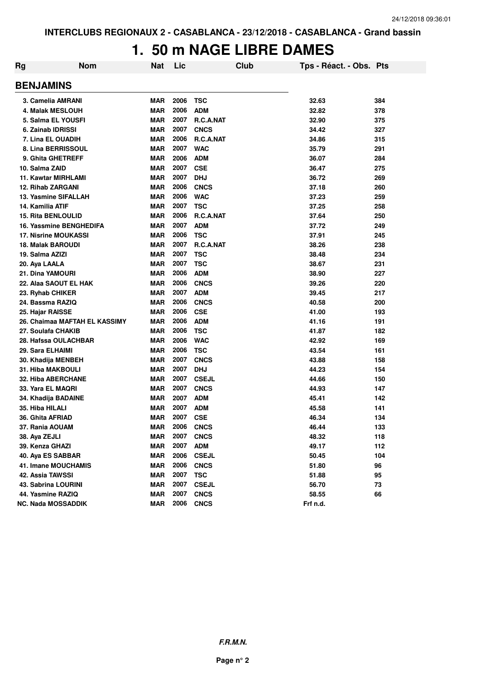## **1. 50 m NAGE LIBRE DAMES**

| Rg | <b>Nom</b>                    | <b>Nat</b> | Lic  | Club         | Tps - Réact. - Obs. Pts |     |
|----|-------------------------------|------------|------|--------------|-------------------------|-----|
|    | <b>BENJAMINS</b>              |            |      |              |                         |     |
|    | 3. Camelia AMRANI             | <b>MAR</b> | 2006 | <b>TSC</b>   | 32.63                   | 384 |
|    | <b>4. Malak MESLOUH</b>       | <b>MAR</b> | 2006 | <b>ADM</b>   | 32.82                   | 378 |
|    | 5. Salma EL YOUSFI            | <b>MAR</b> | 2007 | R.C.A.NAT    | 32.90                   | 375 |
|    | 6. Zainab IDRISSI             | <b>MAR</b> | 2007 | <b>CNCS</b>  | 34.42                   | 327 |
|    | 7. Lina EL OUADIH             | <b>MAR</b> | 2006 | R.C.A.NAT    | 34.86                   | 315 |
|    | 8. Lina BERRISSOUL            | <b>MAR</b> | 2007 | <b>WAC</b>   | 35.79                   | 291 |
|    | 9. Ghita GHETREFF             | <b>MAR</b> | 2006 | <b>ADM</b>   | 36.07                   | 284 |
|    | 10. Salma ZAID                | <b>MAR</b> | 2007 | <b>CSE</b>   | 36.47                   | 275 |
|    | <b>11. Kawtar MIRHLAMI</b>    | <b>MAR</b> | 2007 | <b>DHJ</b>   | 36.72                   | 269 |
|    | <b>12. Rihab ZARGANI</b>      | <b>MAR</b> | 2006 | <b>CNCS</b>  | 37.18                   | 260 |
|    | 13. Yasmine SIFALLAH          | <b>MAR</b> | 2006 | <b>WAC</b>   | 37.23                   | 259 |
|    | 14. Kamilia ATIF              | <b>MAR</b> | 2007 | <b>TSC</b>   | 37.25                   | 258 |
|    | <b>15. Rita BENLOULID</b>     | <b>MAR</b> | 2006 | R.C.A.NAT    | 37.64                   | 250 |
|    | 16. Yassmine BENGHEDIFA       | <b>MAR</b> | 2007 | <b>ADM</b>   | 37.72                   | 249 |
|    | <b>17. Nisrine MOUKASSI</b>   | <b>MAR</b> | 2006 | <b>TSC</b>   | 37.91                   | 245 |
|    | <b>18. Malak BAROUDI</b>      | <b>MAR</b> | 2007 | R.C.A.NAT    | 38.26                   | 238 |
|    | 19. Salma AZIZI               | <b>MAR</b> | 2007 | <b>TSC</b>   | 38.48                   | 234 |
|    | 20. Aya LAALA                 | <b>MAR</b> | 2007 | <b>TSC</b>   | 38.67                   | 231 |
|    | 21. Dina YAMOURI              | <b>MAR</b> | 2006 | <b>ADM</b>   | 38.90                   | 227 |
|    | 22. Alaa SAOUT EL HAK         | <b>MAR</b> | 2006 | <b>CNCS</b>  | 39.26                   | 220 |
|    | 23. Ryhab CHIKER              | <b>MAR</b> | 2007 | <b>ADM</b>   | 39.45                   | 217 |
|    | 24. Bassma RAZIQ              | <b>MAR</b> | 2006 | <b>CNCS</b>  | 40.58                   | 200 |
|    | 25. Hajar RAISSE              | <b>MAR</b> | 2006 | <b>CSE</b>   | 41.00                   | 193 |
|    | 26. Chaimaa MAFTAH EL KASSIMY | <b>MAR</b> | 2006 | <b>ADM</b>   | 41.16                   | 191 |
|    | 27. Soulafa CHAKIB            | <b>MAR</b> | 2006 | <b>TSC</b>   | 41.87                   | 182 |
|    | 28. Hafssa OULACHBAR          | <b>MAR</b> | 2006 | <b>WAC</b>   | 42.92                   | 169 |
|    | 29. Sara ELHAIMI              | <b>MAR</b> | 2006 | <b>TSC</b>   | 43.54                   | 161 |
|    | 30. Khadija MENBEH            | <b>MAR</b> | 2007 | <b>CNCS</b>  | 43.88                   | 158 |
|    | <b>31. Hiba MAKBOULI</b>      | <b>MAR</b> | 2007 | <b>DHJ</b>   | 44.23                   | 154 |
|    | 32. Hiba ABERCHANE            | <b>MAR</b> | 2007 | <b>CSEJL</b> | 44.66                   | 150 |
|    | 33. Yara EL MAQRI             | <b>MAR</b> | 2007 | <b>CNCS</b>  | 44.93                   | 147 |
|    | 34. Khadija BADAINE           | <b>MAR</b> | 2007 | <b>ADM</b>   | 45.41                   | 142 |
|    | 35. Hiba HILALI               | <b>MAR</b> | 2007 | <b>ADM</b>   | 45.58                   | 141 |
|    | 36. Ghita AFRIAD              | <b>MAR</b> | 2007 | <b>CSE</b>   | 46.34                   | 134 |
|    | 37. Rania AOUAM               | <b>MAR</b> | 2006 | <b>CNCS</b>  | 46.44                   | 133 |
|    | 38. Aya ZEJLI                 | <b>MAR</b> | 2007 | <b>CNCS</b>  | 48.32                   | 118 |
|    | 39. Kenza GHAZI               | <b>MAR</b> | 2007 | <b>ADM</b>   | 49.17                   | 112 |
|    | 40. Aya ES SABBAR             | <b>MAR</b> | 2006 | <b>CSEJL</b> | 50.45                   | 104 |
|    | 41. Imane MOUCHAMIS           | <b>MAR</b> | 2006 | <b>CNCS</b>  | 51.80                   | 96  |
|    | 42. Assia TAWSSI              | <b>MAR</b> | 2007 | <b>TSC</b>   | 51.88                   | 95  |
|    | <b>43. Sabrina LOURINI</b>    | <b>MAR</b> | 2007 | <b>CSEJL</b> | 56.70                   | 73  |
|    | 44. Yasmine RAZIQ             | <b>MAR</b> | 2007 | <b>CNCS</b>  | 58.55                   | 66  |
|    | <b>NC. Nada MOSSADDIK</b>     | <b>MAR</b> | 2006 | <b>CNCS</b>  | Frf n.d.                |     |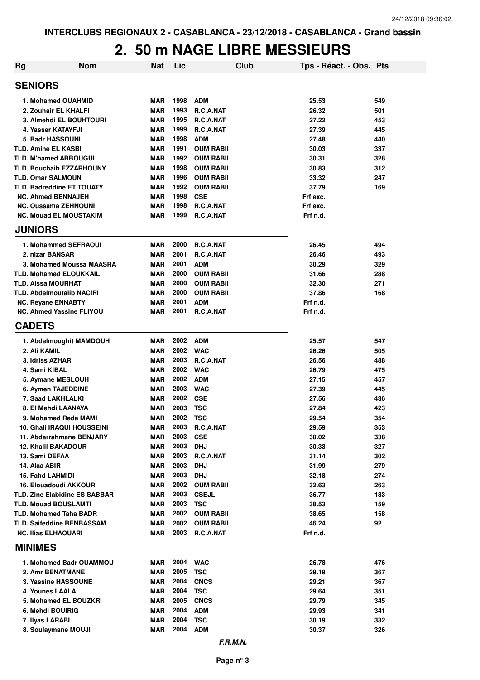#### **2. 50 m NAGE LIBRE MESSIEURS**

| <b>Rg</b> | <b>Nom</b>                                                   | <b>Nat</b> | Lic          |                                | Club | Tps - Réact. - Obs. Pts |            |
|-----------|--------------------------------------------------------------|------------|--------------|--------------------------------|------|-------------------------|------------|
|           | <b>SENIORS</b>                                               |            |              |                                |      |                         |            |
|           | 1. Mohamed OUAHMID                                           | <b>MAR</b> | 1998         | <b>ADM</b>                     |      | 25.53                   | 549        |
|           | 2. Zouhair EL KHALFI                                         | <b>MAR</b> | 1993         | <b>R.C.A.NAT</b>               |      | 26.32                   | 501        |
|           | 3. Almehdi EL BOUHTOURI                                      | <b>MAR</b> | 1995         | <b>R.C.A.NAT</b>               |      | 27.22                   | 453        |
|           | 4. Yasser KATAYFJI                                           | <b>MAR</b> | 1999         | <b>R.C.A.NAT</b>               |      | 27.39                   | 445        |
|           | 5. Badr HASSOUNI                                             | <b>MAR</b> | 1998         | <b>ADM</b>                     |      | 27.48                   | 440        |
|           | <b>TLD. Amine EL KASBI</b>                                   | <b>MAR</b> | 1991         | <b>OUM RABII</b>               |      | 30.03                   | 337        |
|           | <b>TLD. M'hamed ABBOUGUI</b>                                 | <b>MAR</b> | 1992         | <b>OUM RABII</b>               |      | 30.31                   | 328        |
|           | <b>TLD. Bouchaib EZZARHOUNY</b>                              | <b>MAR</b> | 1998         | <b>OUM RABII</b>               |      | 30.83                   | 312        |
|           | <b>TLD. Omar SALMOUN</b>                                     | <b>MAR</b> | 1996         | <b>OUM RABII</b>               |      | 33.32                   | 247        |
|           | <b>TLD. Badreddine ET TOUATY</b>                             | <b>MAR</b> | 1992         | <b>OUM RABII</b>               |      | 37.79                   | 169        |
|           | <b>NC. Ahmed BENNAJEH</b>                                    | <b>MAR</b> | 1998         | <b>CSE</b>                     |      | Frf exc.                |            |
|           | NC. Oussama ZEHNOUNI                                         | <b>MAR</b> | 1998         | R.C.A.NAT                      |      | Frf exc.                |            |
|           | <b>NC. Mouad EL MOUSTAKIM</b>                                | <b>MAR</b> | 1999         | R.C.A.NAT                      |      | Frf n.d.                |            |
|           | <b>JUNIORS</b>                                               |            |              |                                |      |                         |            |
|           | 1. Mohammed SEFRAOUI                                         | <b>MAR</b> | 2000         | <b>R.C.A.NAT</b>               |      | 26.45                   | 494        |
|           | 2. nizar BANSAR                                              | <b>MAR</b> | 2001         | <b>R.C.A.NAT</b>               |      | 26.46                   | 493        |
|           | 3. Mohamed Moussa MAASRA                                     | <b>MAR</b> | 2001         | <b>ADM</b>                     |      | 30.29                   | 329        |
|           | <b>TLD. Mohamed ELOUKKAIL</b>                                | <b>MAR</b> | 2000         | <b>OUM RABII</b>               |      | 31.66                   | 288        |
|           | <b>TLD. Aissa MOURHAT</b>                                    | <b>MAR</b> | 2000         | <b>OUM RABII</b>               |      | 32.30                   | 271        |
|           | <b>TLD. Abdelmoutalib NACIRI</b>                             | <b>MAR</b> | 2000         | <b>OUM RABII</b>               |      | 37.86                   | 168        |
|           | <b>NC. Reyane ENNABTY</b><br><b>NC. Ahmed Yassine FLIYOU</b> | <b>MAR</b> | 2001<br>2001 | <b>ADM</b>                     |      | Frf n.d.                |            |
|           | <b>CADETS</b>                                                | <b>MAR</b> |              | <b>R.C.A.NAT</b>               |      | Frf n.d.                |            |
|           |                                                              |            |              |                                |      |                         |            |
|           | 1. Abdelmoughit MAMDOUH                                      | <b>MAR</b> | 2002         | <b>ADM</b>                     |      | 25.57                   | 547        |
|           | 2. Ali KAMIL                                                 | <b>MAR</b> | 2002         | <b>WAC</b>                     |      | 26.26                   | 505        |
|           | 3. Idriss AZHAR                                              | <b>MAR</b> | 2003         | R.C.A.NAT                      |      | 26.56                   | 488        |
|           | 4. Sami KIBAL                                                | <b>MAR</b> | 2002         | <b>WAC</b>                     |      | 26.79                   | 475        |
|           | 5. Aymane MESLOUH                                            | <b>MAR</b> | 2002         | <b>ADM</b>                     |      | 27.15                   | 457        |
|           | <b>6. Aymen TAJEDDINE</b>                                    | <b>MAR</b> | 2003         | <b>WAC</b>                     |      | 27.39                   | 445        |
|           | 7. Saad LAKHLALKI                                            | <b>MAR</b> | 2002         | <b>CSE</b>                     |      | 27.56                   | 436        |
|           | 8. El Mehdi LAANAYA                                          | <b>MAR</b> | 2003         | <b>TSC</b>                     |      | 27.84                   | 423        |
|           | 9. Mohamed Reda MAMI                                         | <b>MAR</b> | 2002         | <b>TSC</b>                     |      | 29.54                   | 354        |
|           | <b>10. Ghali IRAQUI HOUSSEINI</b>                            | MAR        | 2003         | R.C.A.NAT                      |      | 29.59                   | 353        |
|           | 11. Abderrahmane BENJARY                                     | <b>MAR</b> | 2003         | <b>CSE</b>                     |      | 30.02                   | 338        |
|           | <b>12. Khalil BAKADOUR</b>                                   | MAR        | 2003         | <b>DHJ</b>                     |      | 30.33                   | 327        |
|           | 13. Sami DEFAA                                               | MAR        | 2003         | R.C.A.NAT                      |      | 31.14                   | 302        |
|           | 14. Alaa ABIR                                                | MAR        | 2003<br>2003 | <b>DHJ</b>                     |      | 31.99                   | 279        |
|           | <b>15. Fahd LAHMIDI</b><br>16. Elouadoudi AKKOUR             | MAR<br>MAR | 2002         | <b>DHJ</b><br><b>OUM RABII</b> |      | 32.18<br>32.63          | 274<br>263 |
|           | <b>TLD. Zine Elabidine ES SABBAR</b>                         | MAR        | 2003         | <b>CSEJL</b>                   |      | 36.77                   | 183        |
|           | <b>TLD. Mouad BOUSLAMTI</b>                                  | MAR        | 2003         | <b>TSC</b>                     |      | 38.53                   | 159        |
|           | <b>TLD. Mohamed Taha BADR</b>                                | MAR        | 2002         | <b>OUM RABII</b>               |      | 38.65                   | 158        |
|           | <b>TLD. Saifeddine BENBASSAM</b>                             | MAR        | 2002         | <b>OUM RABII</b>               |      | 46.24                   | 92         |
|           | <b>NC. Ilias ELHAOUARI</b>                                   | MAR        |              | 2003 R.C.A.NAT                 |      | Frf n.d.                |            |
|           | <b>MINIMES</b>                                               |            |              |                                |      |                         |            |
|           | 1. Mohamed Badr OUAMMOU                                      | MAR        | 2004         | <b>WAC</b>                     |      | 26.78                   | 476        |
|           | 2. Amr BENATMANE                                             | MAR        | 2005         | <b>TSC</b>                     |      | 29.19                   | 367        |
|           | 3. Yassine HASSOUNE                                          | MAR        | 2004         | <b>CNCS</b>                    |      | 29.21                   | 367        |
|           | 4. Younes LAALA                                              | MAR        | 2004         | <b>TSC</b>                     |      | 29.64                   | 351        |
|           | 5. Mohamed EL BOUZKRI                                        | MAR        | 2005         | <b>CNCS</b>                    |      | 29.79                   | 345        |
|           | 6. Mehdi BOUIRIG                                             | MAR        | 2004         | <b>ADM</b>                     |      | 29.93                   | 341        |
|           | 7. Ilyas LARABI                                              | MAR        | 2004         | <b>TSC</b>                     |      | 30.19                   | 332        |
|           | 8. Soulaymane MOUJI                                          | MAR        | 2004         | <b>ADM</b>                     |      | 30.37                   | 326        |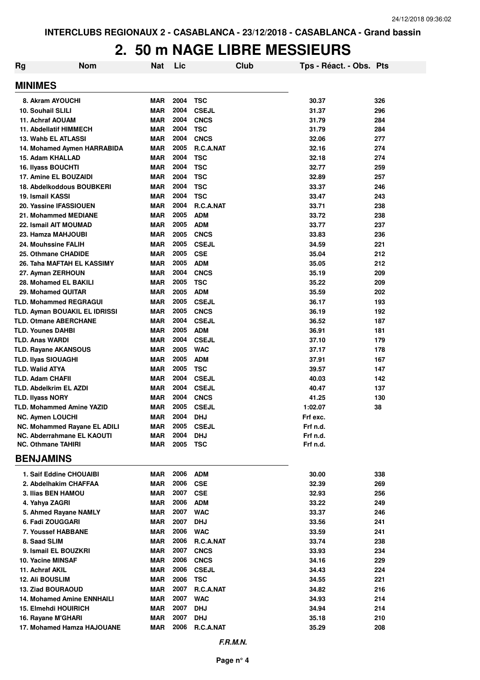## **2. 50 m NAGE LIBRE MESSIEURS**

| Rg | <b>Nom</b>                        | <b>Nat</b> | Lic  |              | Club | Tps - Réact. - Obs. Pts |     |
|----|-----------------------------------|------------|------|--------------|------|-------------------------|-----|
|    | <b>MINIMES</b>                    |            |      |              |      |                         |     |
|    | 8. Akram AYOUCHI                  | <b>MAR</b> | 2004 | <b>TSC</b>   |      | 30.37                   | 326 |
|    | <b>10. Souhail SLILI</b>          | <b>MAR</b> | 2004 | <b>CSEJL</b> |      | 31.37                   | 296 |
|    | 11. Achraf AOUAM                  | <b>MAR</b> | 2004 | <b>CNCS</b>  |      | 31.79                   | 284 |
|    | 11. Abdellatif HIMMECH            | <b>MAR</b> | 2004 | <b>TSC</b>   |      | 31.79                   | 284 |
|    | 13. Wahb EL ATLASSI               | <b>MAR</b> | 2004 | <b>CNCS</b>  |      | 32.06                   | 277 |
|    | 14. Mohamed Aymen HARRABIDA       | <b>MAR</b> | 2005 | R.C.A.NAT    |      | 32.16                   | 274 |
|    | 15. Adam KHALLAD                  | <b>MAR</b> | 2004 | <b>TSC</b>   |      | 32.18                   | 274 |
|    | 16. Ilyass BOUCHTI                | <b>MAR</b> | 2004 | <b>TSC</b>   |      | 32.77                   | 259 |
|    | 17. Amine EL BOUZAIDI             | <b>MAR</b> | 2004 | <b>TSC</b>   |      | 32.89                   | 257 |
|    | 18. Abdelkoddous BOUBKERI         | <b>MAR</b> | 2004 | <b>TSC</b>   |      | 33.37                   | 246 |
|    | 19. Ismail KASSI                  | <b>MAR</b> | 2004 | <b>TSC</b>   |      | 33.47                   | 243 |
|    | 20. Yassine IFASSIOUEN            | <b>MAR</b> | 2004 | R.C.A.NAT    |      | 33.71                   | 238 |
|    | 21. Mohammed MEDIANE              | <b>MAR</b> | 2005 | <b>ADM</b>   |      | 33.72                   | 238 |
|    | 22. Ismail AIT MOUMAD             | <b>MAR</b> | 2005 | <b>ADM</b>   |      | 33.77                   | 237 |
|    | 23. Hamza MAHJOUBI                | <b>MAR</b> | 2005 | <b>CNCS</b>  |      | 33.83                   | 236 |
|    | 24. Mouhssine FALIH               | <b>MAR</b> | 2005 | <b>CSEJL</b> |      | 34.59                   | 221 |
|    | 25. Othmane CHADIDE               | <b>MAR</b> | 2005 | <b>CSE</b>   |      | 35.04                   | 212 |
|    | 26. Taha MAFTAH EL KASSIMY        | <b>MAR</b> | 2005 | <b>ADM</b>   |      | 35.05                   | 212 |
|    | 27. Ayman ZERHOUN                 | <b>MAR</b> | 2004 | <b>CNCS</b>  |      | 35.19                   | 209 |
|    | 28. Mohamed EL BAKILI             | <b>MAR</b> | 2005 | <b>TSC</b>   |      | 35.22                   | 209 |
|    | 29. Mohamed QUITAR                | <b>MAR</b> | 2005 | <b>ADM</b>   |      | 35.59                   | 202 |
|    | <b>TLD. Mohammed REGRAGUI</b>     | <b>MAR</b> | 2005 | <b>CSEJL</b> |      | 36.17                   | 193 |
|    | TLD. Ayman BOUAKIL EL IDRISSI     | <b>MAR</b> | 2005 | <b>CNCS</b>  |      | 36.19                   | 192 |
|    | <b>TLD. Otmane ABERCHANE</b>      | <b>MAR</b> | 2004 | <b>CSEJL</b> |      | 36.52                   | 187 |
|    | <b>TLD. Younes DAHBI</b>          | <b>MAR</b> | 2005 | <b>ADM</b>   |      | 36.91                   | 181 |
|    | <b>TLD. Anas WARDI</b>            | <b>MAR</b> | 2004 | <b>CSEJL</b> |      | 37.10                   | 179 |
|    | <b>TLD. Rayane AKANSOUS</b>       | <b>MAR</b> | 2005 | <b>WAC</b>   |      | 37.17                   | 178 |
|    | <b>TLD. Ilyas SIOUAGHI</b>        | <b>MAR</b> | 2005 | <b>ADM</b>   |      | 37.91                   | 167 |
|    | <b>TLD. Walid ATYA</b>            | <b>MAR</b> | 2005 | <b>TSC</b>   |      | 39.57                   | 147 |
|    | <b>TLD. Adam CHAFII</b>           | <b>MAR</b> | 2004 | <b>CSEJL</b> |      | 40.03                   | 142 |
|    | <b>TLD. Abdelkrim EL AZDI</b>     | <b>MAR</b> | 2004 | <b>CSEJL</b> |      | 40.47                   | 137 |
|    | <b>TLD. Ilyass NORY</b>           | <b>MAR</b> | 2004 | <b>CNCS</b>  |      | 41.25                   | 130 |
|    | <b>TLD. Mohammed Amine YAZID</b>  | <b>MAR</b> | 2005 | <b>CSEJL</b> |      | 1:02.07                 | 38  |
|    | <b>NC. Aymen LOUCHI</b>           | <b>MAR</b> | 2004 | <b>DHJ</b>   |      | Frf exc.                |     |
|    | NC. Mohammed Rayane EL ADILI      | <b>MAR</b> |      | 2005 CSEJL   |      | Frf n.d.                |     |
|    | <b>NC. Abderrahmane EL KAOUTI</b> | MAR        | 2004 | <b>DHJ</b>   |      | Frf n.d.                |     |
|    | <b>NC. Othmane TAHIRI</b>         | MAR        | 2005 | <b>TSC</b>   |      | Frf n.d.                |     |
|    | <b>BENJAMINS</b>                  |            |      |              |      |                         |     |
|    | 1. Saif Eddine CHOUAIBI           | MAR        | 2006 | ADM          |      | 30.00                   | 338 |
|    | 2. Abdelhakim CHAFFAA             | MAR        | 2006 | <b>CSE</b>   |      | 32.39                   | 269 |
|    | 3. Ilias BEN HAMOU                | MAR        | 2007 | <b>CSE</b>   |      | 32.93                   | 256 |
|    | 4. Yahya ZAGRI                    | MAR        | 2006 | <b>ADM</b>   |      | 33.22                   | 249 |
|    | 5. Ahmed Rayane NAMLY             | MAR        | 2007 | <b>WAC</b>   |      | 33.37                   | 246 |
|    | 6. Fadi ZOUGGARI                  | MAR        | 2007 | <b>DHJ</b>   |      | 33.56                   | 241 |
|    | 7. Youssef HABBANE                | MAR        | 2006 | <b>WAC</b>   |      | 33.59                   | 241 |
|    | 8. Saad SLIM                      | <b>MAR</b> | 2006 | R.C.A.NAT    |      | 33.74                   | 238 |
|    | 9. Ismail EL BOUZKRI              | MAR        | 2007 | <b>CNCS</b>  |      | 33.93                   | 234 |
|    | 10. Yacine MINSAF                 | MAR        | 2006 | <b>CNCS</b>  |      | 34.16                   | 229 |
|    | 11. Achraf AKIL                   | MAR        | 2006 | <b>CSEJL</b> |      | 34.43                   | 224 |
|    | 12. Ali BOUSLIM                   | <b>MAR</b> | 2006 | <b>TSC</b>   |      | 34.55                   | 221 |
|    | <b>13. Ziad BOURAOUD</b>          | <b>MAR</b> | 2007 | R.C.A.NAT    |      | 34.82                   | 216 |
|    | <b>14. Mohamed Amine ENNHAILI</b> | <b>MAR</b> | 2007 | <b>WAC</b>   |      | 34.93                   | 214 |
|    | 15. Elmehdi HOUIRICH              | <b>MAR</b> | 2007 | <b>DHJ</b>   |      | 34.94                   | 214 |
|    | 16. Rayane M'GHARI                | MAR        | 2007 | <b>DHJ</b>   |      | 35.18                   | 210 |
|    | 17. Mohamed Hamza HAJOUANE        | MAR        | 2006 | R.C.A.NAT    |      | 35.29                   | 208 |
|    |                                   |            |      |              |      |                         |     |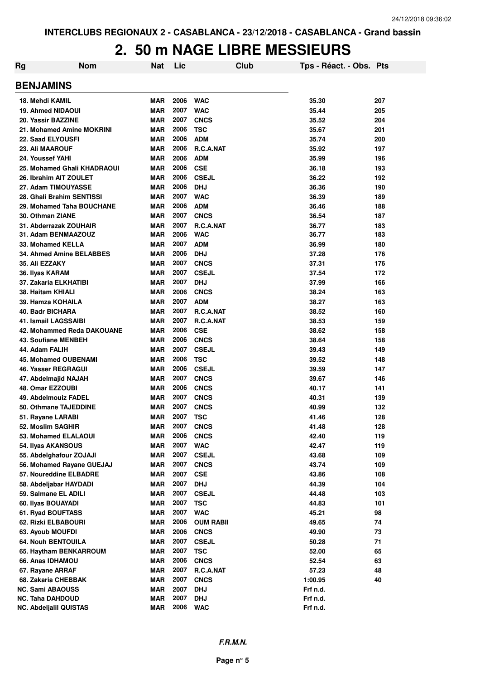#### **2. 50 m NAGE LIBRE MESSIEURS**

| Rg | <b>Nom</b>                             | Nat                      | Lic          | Club                       | Tps - Réact. - Obs. Pts |            |
|----|----------------------------------------|--------------------------|--------------|----------------------------|-------------------------|------------|
|    | <b>BENJAMINS</b>                       |                          |              |                            |                         |            |
|    | 18. Mehdi KAMIL                        | MAR                      | 2006         | <b>WAC</b>                 | 35.30                   | 207        |
|    | <b>19. Ahmed NIDAOUI</b>               | <b>MAR</b>               | 2007         | <b>WAC</b>                 | 35.44                   | 205        |
|    | 20. Yassir BAZZINE                     | <b>MAR</b>               | 2007         | <b>CNCS</b>                | 35.52                   | 204        |
|    | 21. Mohamed Amine MOKRINI              | <b>MAR</b>               | 2006         | <b>TSC</b>                 | 35.67                   | 201        |
|    | 22. Saad ELYOUSFI                      | <b>MAR</b>               | 2006         | <b>ADM</b>                 | 35.74                   | 200        |
|    | 23. Ali MAAROUF                        | <b>MAR</b>               | 2006         | R.C.A.NAT                  | 35.92                   | 197        |
|    | 24. Youssef YAHI                       | <b>MAR</b>               | 2006         | <b>ADM</b>                 | 35.99                   | 196        |
|    | 25. Mohamed Ghali KHADRAOUI            | <b>MAR</b>               | 2006         | <b>CSE</b>                 | 36.18                   | 193        |
|    | 26. Ibrahim AIT ZOULET                 | <b>MAR</b>               | 2006         | <b>CSEJL</b>               | 36.22                   | 192        |
|    | 27. Adam TIMOUYASSE                    | <b>MAR</b>               | 2006         | <b>DHJ</b>                 | 36.36                   | 190        |
|    | 28. Ghali Brahim SENTISSI              | <b>MAR</b>               | 2007         | <b>WAC</b>                 | 36.39                   | 189        |
|    | 29. Mohamed Taha BOUCHANE              | <b>MAR</b>               | 2006         | <b>ADM</b>                 | 36.46                   | 188        |
|    | 30. Othman ZIANE                       | <b>MAR</b>               | 2007         | <b>CNCS</b>                | 36.54                   | 187        |
|    | 31. Abderrazak ZOUHAIR                 | <b>MAR</b>               | 2007         | <b>R.C.A.NAT</b>           | 36.77                   | 183        |
|    | 31. Adam BENMAAZOUZ                    | <b>MAR</b>               | 2006         | <b>WAC</b>                 | 36.77                   | 183        |
|    | 33. Mohamed KELLA                      | <b>MAR</b>               | 2007         | <b>ADM</b>                 | 36.99                   | 180        |
|    | 34. Ahmed Amine BELABBES               | <b>MAR</b>               | 2006         | <b>DHJ</b>                 | 37.28                   | 176        |
|    | 35. Ali EZZAKY                         | <b>MAR</b>               | 2007         | <b>CNCS</b>                | 37.31                   | 176        |
|    | 36. Ilyas KARAM                        | <b>MAR</b>               | 2007         | <b>CSEJL</b>               | 37.54                   | 172        |
|    | 37. Zakaria ELKHATIBI                  | <b>MAR</b>               | 2007         | <b>DHJ</b>                 | 37.99                   | 166        |
|    | 38. Haitam KHIALI                      | <b>MAR</b>               | 2006         | <b>CNCS</b>                | 38.24                   | 163        |
|    | 39. Hamza KOHAILA                      | <b>MAR</b>               | 2007         | <b>ADM</b>                 | 38.27                   | 163        |
|    | 40. Badr BICHARA                       | <b>MAR</b>               | 2007         | R.C.A.NAT                  | 38.52                   | 160        |
|    | 41. Ismail LAGSSAIBI                   | <b>MAR</b>               | 2007         | R.C.A.NAT                  | 38.53                   | 159        |
|    | 42. Mohammed Reda DAKOUANE             | <b>MAR</b>               | 2006         | <b>CSE</b>                 | 38.62                   | 158        |
|    | 43. Soufiane MENBEH                    | <b>MAR</b>               | 2006         | <b>CNCS</b>                | 38.64                   | 158        |
|    | 44. Adam FALIH                         | <b>MAR</b>               | 2007         | <b>CSEJL</b>               | 39.43                   | 149        |
|    | <b>45. Mohamed OUBENAMI</b>            | <b>MAR</b>               | 2006         | <b>TSC</b>                 | 39.52                   | 148        |
|    | 46. Yasser REGRAGUI                    | <b>MAR</b>               | 2006         | <b>CSEJL</b>               | 39.59                   | 147        |
|    | 47. Abdelmajid NAJAH                   | <b>MAR</b>               | 2007<br>2006 | <b>CNCS</b>                | 39.67                   | 146        |
|    | 48. Omar EZZOUBI                       | <b>MAR</b>               | 2007         | <b>CNCS</b>                | 40.17                   | 141        |
|    | 49. Abdelmouiz FADEL                   | <b>MAR</b>               | 2007         | <b>CNCS</b>                | 40.31                   | 139        |
|    | 50. Othmane TAJEDDINE                  | <b>MAR</b><br><b>MAR</b> | 2007         | <b>CNCS</b><br>TSC         | 40.99<br>41.46          | 132<br>128 |
|    | 51. Rayane LARABI<br>52. Moslim SAGHIR | <b>MAR</b>               | 2007         |                            |                         |            |
|    | 53. Mohamed ELALAOUI                   | <b>MAR</b>               | 2006         | <b>CNCS</b><br><b>CNCS</b> | 41.48<br>42.40          | 128<br>119 |
|    | 54. Ilyas AKANSOUS                     | <b>MAR</b>               | 2007         | <b>WAC</b>                 | 42.47                   | 119        |
|    | 55. Abdelghafour ZOJAJI                | <b>MAR</b>               | 2007         | <b>CSEJL</b>               | 43.68                   | 109        |
|    | 56. Mohamed Rayane GUEJAJ              | <b>MAR</b>               | 2007         | <b>CNCS</b>                | 43.74                   | 109        |
|    | 57. Noureddine ELBADRE                 | <b>MAR</b>               | 2007         | <b>CSE</b>                 | 43.86                   | 108        |
|    | 58. Abdeljabar HAYDADI                 | <b>MAR</b>               | 2007         | <b>DHJ</b>                 | 44.39                   | 104        |
|    | 59. Salmane EL ADILI                   | <b>MAR</b>               | 2007         | <b>CSEJL</b>               | 44.48                   | 103        |
|    | 60. Ilyas BOUAYADI                     | <b>MAR</b>               | 2007         | <b>TSC</b>                 | 44.83                   | 101        |
|    | 61. Ryad BOUFTASS                      | <b>MAR</b>               | 2007         | <b>WAC</b>                 | 45.21                   | 98         |
|    | 62. Rizki ELBABOURI                    | <b>MAR</b>               | 2006         | <b>OUM RABII</b>           | 49.65                   | 74         |
|    | 63. Ayoub MOUFDI                       | <b>MAR</b>               | 2006         | <b>CNCS</b>                | 49.90                   | 73         |
|    | <b>64. Nouh BENTOUILA</b>              | <b>MAR</b>               | 2007         | <b>CSEJL</b>               | 50.28                   | 71         |
|    | 65. Haytham BENKARROUM                 | <b>MAR</b>               | 2007         | <b>TSC</b>                 | 52.00                   | 65         |
|    | 66. Anas IDHAMOU                       | <b>MAR</b>               | 2006         | <b>CNCS</b>                | 52.54                   | 63         |
|    | 67. Rayane ARRAF                       | <b>MAR</b>               | 2007         | R.C.A.NAT                  | 57.23                   | 48         |
|    | 68. Zakaria CHEBBAK                    | <b>MAR</b>               | 2007         | <b>CNCS</b>                | 1:00.95                 | 40         |
|    | <b>NC. Sami ABAOUSS</b>                | <b>MAR</b>               | 2007         | <b>DHJ</b>                 | Frf n.d.                |            |
|    | <b>NC. Taha DAHDOUD</b>                | <b>MAR</b>               | 2007         | <b>DHJ</b>                 | Frf n.d.                |            |
|    | <b>NC. Abdeljalil QUISTAS</b>          | <b>MAR</b>               | 2006         | <b>WAC</b>                 | Frf n.d.                |            |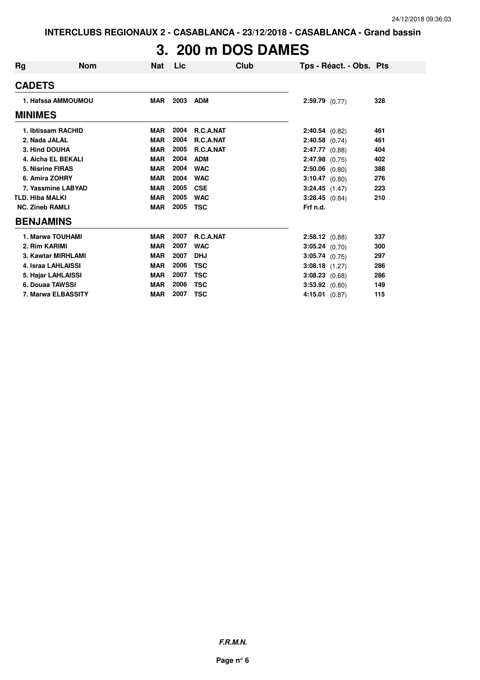## **3. 200 m DOS DAMES**

| Rg                     | <b>Nom</b>         | Nat        | Lic  | Club             | Tps - Réact. - Obs. Pts |     |
|------------------------|--------------------|------------|------|------------------|-------------------------|-----|
| <b>CADETS</b>          |                    |            |      |                  |                         |     |
|                        | 1. Hafssa AMMOUMOU | <b>MAR</b> | 2003 | <b>ADM</b>       | $2:59.79$ (0.77)        | 328 |
| <b>MINIMES</b>         |                    |            |      |                  |                         |     |
|                        | 1. Ibtissam RACHID | MAR        | 2004 | <b>R.C.A.NAT</b> | 2:40.54(0.82)           | 461 |
| 2. Nada JALAL          |                    | <b>MAR</b> | 2004 | R.C.A.NAT        | $2:40.58$ (0.74)        | 461 |
| 3. Hind DOUHA          |                    | <b>MAR</b> | 2005 | R.C.A.NAT        | $2:47.77$ (0.88)        | 404 |
|                        | 4. Aicha EL BEKALI | <b>MAR</b> | 2004 | <b>ADM</b>       | $2:47.98$ (0.75)        | 402 |
| 5. Nisrine FIRAS       |                    | <b>MAR</b> | 2004 | <b>WAC</b>       | $2:50.06$ (0.80)        | 388 |
| 6. Amira ZOHRY         |                    | <b>MAR</b> | 2004 | <b>WAC</b>       | $3:10.47$ (0.80)        | 276 |
|                        | 7. Yassmine LABYAD | <b>MAR</b> | 2005 | <b>CSE</b>       | $3:24.45$ $(1.47)$      | 223 |
| <b>TLD. Hiba MALKI</b> |                    | <b>MAR</b> | 2005 | <b>WAC</b>       | $3:28.45$ (0.84)        | 210 |
| <b>NC. Zineb RAMLI</b> |                    | <b>MAR</b> | 2005 | <b>TSC</b>       | Frf n.d.                |     |
| <b>BENJAMINS</b>       |                    |            |      |                  |                         |     |
|                        | 1. Marwa TOUHAMI   | <b>MAR</b> | 2007 | <b>R.C.A.NAT</b> | $2:58.12$ (0.88)        | 337 |
| 2. Rim KARIMI          |                    | <b>MAR</b> | 2007 | <b>WAC</b>       | 3:05.24 (0.70)          | 300 |
|                        | 3. Kawtar MIRHLAMI | <b>MAR</b> | 2007 | <b>DHJ</b>       | $3:05.74$ (0.75)        | 297 |
|                        | 4. Israa LAHLAISSI | <b>MAR</b> | 2006 | <b>TSC</b>       | $3:08.18$ (1.27)        | 286 |
|                        | 5. Hajar LAHLAISSI | <b>MAR</b> | 2007 | <b>TSC</b>       | $3:08.23$ $(0.68)$      | 286 |
|                        | 6. Douaa TAWSSI    | <b>MAR</b> | 2006 | <b>TSC</b>       | $3:53.92$ $(0.80)$      | 149 |
|                        | 7. Marwa ELBASSITY | <b>MAR</b> | 2007 | <b>TSC</b>       | $4:15.01$ $(0.87)$      | 115 |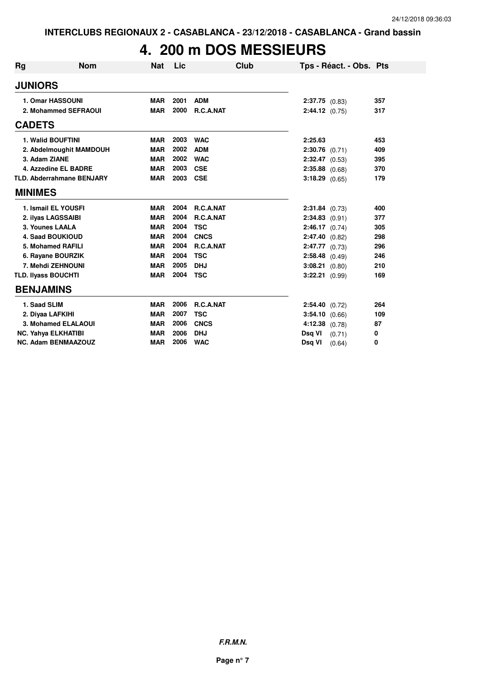## **4. 200 m DOS MESSIEURS**

| <b>Rg</b> | <b>Nom</b>                       | <b>Nat</b> | <b>Lic</b> | Club             |                    | Tps - Réact. - Obs. Pts |     |
|-----------|----------------------------------|------------|------------|------------------|--------------------|-------------------------|-----|
|           | <b>JUNIORS</b>                   |            |            |                  |                    |                         |     |
|           | 1. Omar HASSOUNI                 | <b>MAR</b> | 2001       | <b>ADM</b>       | $2:37.75$ (0.83)   |                         | 357 |
|           | 2. Mohammed SEFRAOUI             | <b>MAR</b> | 2000       | R.C.A.NAT        | 2:44.12 (0.75)     |                         | 317 |
|           | <b>CADETS</b>                    |            |            |                  |                    |                         |     |
|           | 1. Walid BOUFTINI                | <b>MAR</b> | 2003       | <b>WAC</b>       | 2:25.63            |                         | 453 |
|           | 2. Abdelmoughit MAMDOUH          | <b>MAR</b> | 2002       | <b>ADM</b>       | $2:30.76$ (0.71)   |                         | 409 |
|           | 3. Adam ZIANE                    | <b>MAR</b> | 2002       | <b>WAC</b>       | $2:32.47$ (0.53)   |                         | 395 |
|           | 4. Azzedine EL BADRE             | <b>MAR</b> | 2003       | <b>CSE</b>       | $2:35.88$ (0.68)   |                         | 370 |
|           | <b>TLD. Abderrahmane BENJARY</b> | <b>MAR</b> | 2003       | <b>CSE</b>       | $3:18.29$ (0.65)   |                         | 179 |
|           | <b>MINIMES</b>                   |            |            |                  |                    |                         |     |
|           | 1. Ismail EL YOUSFI              | <b>MAR</b> | 2004       | <b>R.C.A.NAT</b> | $2:31.84$ (0.73)   |                         | 400 |
|           | 2. ilyas LAGSSAIBI               | <b>MAR</b> | 2004       | <b>R.C.A.NAT</b> | $2:34.83$ (0.91)   |                         | 377 |
|           | 3. Younes LAALA                  | <b>MAR</b> | 2004       | <b>TSC</b>       | $2:46.17$ (0.74)   |                         | 305 |
|           | <b>4. Saad BOUKIOUD</b>          | <b>MAR</b> | 2004       | <b>CNCS</b>      | $2:47.40$ (0.82)   |                         | 298 |
|           | 5. Mohamed RAFILI                | <b>MAR</b> | 2004       | <b>R.C.A.NAT</b> | $2:47.77$ (0.73)   |                         | 296 |
|           | 6. Rayane BOURZIK                | <b>MAR</b> | 2004       | <b>TSC</b>       | $2:58.48$ (0.49)   |                         | 246 |
|           | 7. Mehdi ZEHNOUNI                | <b>MAR</b> | 2005       | <b>DHJ</b>       | $3:08.21$ (0.80)   |                         | 210 |
|           | <b>TLD. Ilyass BOUCHTI</b>       | <b>MAR</b> | 2004       | <b>TSC</b>       | 3:22.21 (0.99)     |                         | 169 |
|           | <b>BENJAMINS</b>                 |            |            |                  |                    |                         |     |
|           | 1. Saad SLIM                     | <b>MAR</b> | 2006       | R.C.A.NAT        | 2:54.40 (0.72)     |                         | 264 |
|           | 2. Diyaa LAFKIHI                 | <b>MAR</b> | 2007       | <b>TSC</b>       | 3:54.10 (0.66)     |                         | 109 |
|           | 3. Mohamed ELALAOUI              | <b>MAR</b> | 2006       | <b>CNCS</b>      | $4:12.38$ $(0.78)$ |                         | 87  |
|           | <b>NC. Yahya ELKHATIBI</b>       | <b>MAR</b> | 2006       | <b>DHJ</b>       | Dsq VI             | (0.71)                  | 0   |
|           | <b>NC. Adam BENMAAZOUZ</b>       | <b>MAR</b> | 2006       | <b>WAC</b>       | Dsq VI             | (0.64)                  | 0   |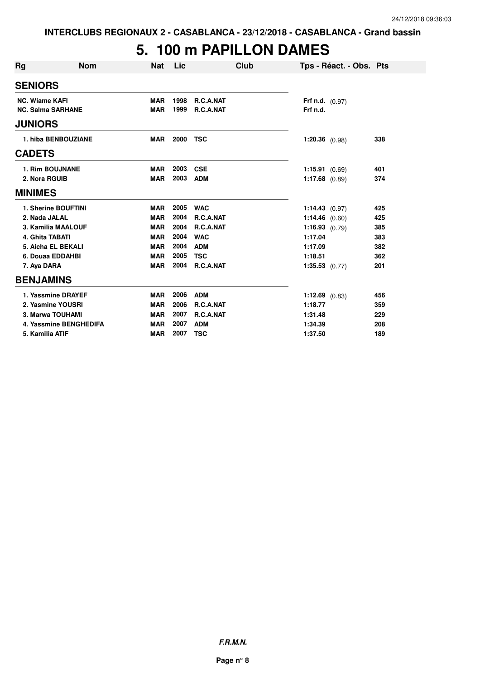#### **5. 100 m PAPILLON DAMES**

| <b>Rg</b>             | <b>Nom</b>               | <b>Nat</b> | Lic  | Club       | Tps - Réact. - Obs. Pts  |     |
|-----------------------|--------------------------|------------|------|------------|--------------------------|-----|
| <b>SENIORS</b>        |                          |            |      |            |                          |     |
| <b>NC. Wiame KAFI</b> |                          | <b>MAR</b> | 1998 | R.C.A.NAT  | <b>Frf n.d.</b> $(0.97)$ |     |
|                       | <b>NC. Salma SARHANE</b> | <b>MAR</b> | 1999 | R.C.A.NAT  | Frf n.d.                 |     |
| <b>JUNIORS</b>        |                          |            |      |            |                          |     |
|                       | 1. hiba BENBOUZIANE      | <b>MAR</b> | 2000 | <b>TSC</b> | $1:20.36$ (0.98)         | 338 |
| <b>CADETS</b>         |                          |            |      |            |                          |     |
|                       | <b>1. Rim BOUJNANE</b>   | <b>MAR</b> | 2003 | <b>CSE</b> | 1:15.91(0.69)            | 401 |
|                       | 2. Nora RGUIB            | <b>MAR</b> | 2003 | <b>ADM</b> | $1:17.68$ (0.89)         | 374 |
| <b>MINIMES</b>        |                          |            |      |            |                          |     |
|                       | 1. Sherine BOUFTINI      | <b>MAR</b> | 2005 | <b>WAC</b> | 1:14.43(0.97)            | 425 |
|                       | 2. Nada JALAL            | <b>MAR</b> | 2004 | R.C.A.NAT  | $1:14.46$ (0.60)         | 425 |
|                       | 3. Kamilia MAALOUF       | <b>MAR</b> | 2004 | R.C.A.NAT  | 1:16.93(0.79)            | 385 |
|                       | 4. Ghita TABATI          | <b>MAR</b> | 2004 | <b>WAC</b> | 1:17.04                  | 383 |
|                       | 5. Aicha EL BEKALI       | <b>MAR</b> | 2004 | <b>ADM</b> | 1:17.09                  | 382 |
|                       | 6. Douaa EDDAHBI         | <b>MAR</b> | 2005 | <b>TSC</b> | 1:18.51                  | 362 |
| 7. Aya DARA           |                          | <b>MAR</b> | 2004 | R.C.A.NAT  | $1:35.53$ (0.77)         | 201 |
|                       | <b>BENJAMINS</b>         |            |      |            |                          |     |
|                       | 1. Yassmine DRAYEF       | <b>MAR</b> | 2006 | <b>ADM</b> | $1:12.69$ (0.83)         | 456 |
|                       | 2. Yasmine YOUSRI        | <b>MAR</b> | 2006 | R.C.A.NAT  | 1:18.77                  | 359 |
|                       | 3. Marwa TOUHAMI         | <b>MAR</b> | 2007 | R.C.A.NAT  | 1:31.48                  | 229 |
|                       | 4. Yassmine BENGHEDIFA   | <b>MAR</b> | 2007 | <b>ADM</b> | 1:34.39                  | 208 |
|                       | 5. Kamilia ATIF          | <b>MAR</b> | 2007 | <b>TSC</b> | 1:37.50                  | 189 |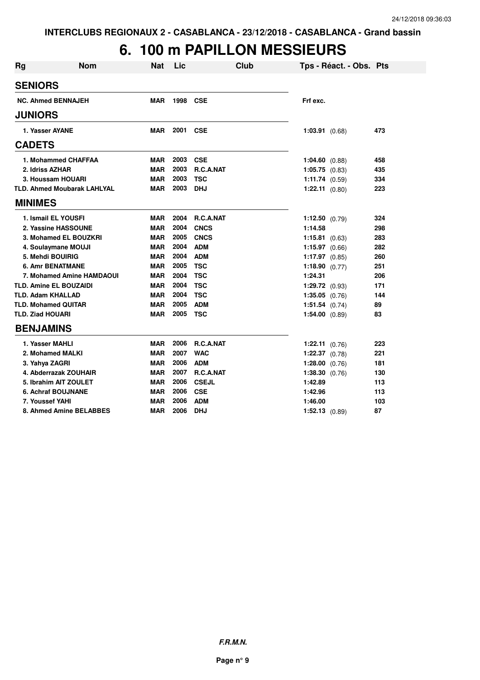#### **6. 100 m PAPILLON MESSIEURS**

| <b>Rg</b>      | <b>Nom</b>                         | <b>Nat</b> | Lic  | <b>Club</b>      | Tps - Réact. - Obs. Pts |     |
|----------------|------------------------------------|------------|------|------------------|-------------------------|-----|
| <b>SENIORS</b> |                                    |            |      |                  |                         |     |
|                | <b>NC. Ahmed BENNAJEH</b>          | <b>MAR</b> | 1998 | CSE              | Frf exc.                |     |
| <b>JUNIORS</b> |                                    |            |      |                  |                         |     |
|                | 1. Yasser AYANE                    | <b>MAR</b> | 2001 | <b>CSE</b>       | $1:03.91$ $(0.68)$      | 473 |
| <b>CADETS</b>  |                                    |            |      |                  |                         |     |
|                | 1. Mohammed CHAFFAA                | <b>MAR</b> | 2003 | <b>CSE</b>       | $1:04.60$ $(0.88)$      | 458 |
|                | 2. Idriss AZHAR                    | <b>MAR</b> | 2003 | <b>R.C.A.NAT</b> | $1:05.75$ $(0.83)$      | 435 |
|                | 3. Houssam HOUARI                  | <b>MAR</b> | 2003 | <b>TSC</b>       | 1:11.74 $(0.59)$        | 334 |
|                | <b>TLD. Ahmed Moubarak LAHLYAL</b> | <b>MAR</b> | 2003 | <b>DHJ</b>       | $1:22.11$ $(0.80)$      | 223 |
| <b>MINIMES</b> |                                    |            |      |                  |                         |     |
|                | 1. Ismail EL YOUSFI                | <b>MAR</b> | 2004 | <b>R.C.A.NAT</b> | 1:12.50 $(0.79)$        | 324 |
|                | 2. Yassine HASSOUNE                | <b>MAR</b> | 2004 | <b>CNCS</b>      | 1:14.58                 | 298 |
|                | 3. Mohamed EL BOUZKRI              | <b>MAR</b> | 2005 | <b>CNCS</b>      | $1:15.81$ (0.63)        | 283 |
|                | 4. Soulaymane MOUJI                | <b>MAR</b> | 2004 | <b>ADM</b>       | 1:15.97 $(0.66)$        | 282 |
|                | 5. Mehdi BOUIRIG                   | <b>MAR</b> | 2004 | <b>ADM</b>       | 1:17.97 $(0.85)$        | 260 |
|                | <b>6. Amr BENATMANE</b>            | <b>MAR</b> | 2005 | <b>TSC</b>       | 1:18.90 $(0.77)$        | 251 |
|                | 7. Mohamed Amine HAMDAOUI          | <b>MAR</b> | 2004 | <b>TSC</b>       | 1:24.31                 | 206 |
|                | <b>TLD. Amine EL BOUZAIDI</b>      | <b>MAR</b> | 2004 | <b>TSC</b>       | $1:29.72$ (0.93)        | 171 |
|                | <b>TLD. Adam KHALLAD</b>           | <b>MAR</b> | 2004 | <b>TSC</b>       | $1:35.05$ $(0.76)$      | 144 |
|                | <b>TLD. Mohamed QUITAR</b>         | <b>MAR</b> | 2005 | <b>ADM</b>       | $1:51.54$ (0.74)        | 89  |
|                | <b>TLD. Ziad HOUARI</b>            | <b>MAR</b> | 2005 | <b>TSC</b>       | $1:54.00$ $(0.89)$      | 83  |
|                | <b>BENJAMINS</b>                   |            |      |                  |                         |     |
|                | 1. Yasser MAHLI                    | <b>MAR</b> | 2006 | R.C.A.NAT        | $1:22.11$ $(0.76)$      | 223 |
|                | 2. Mohamed MALKI                   | <b>MAR</b> | 2007 | <b>WAC</b>       | $1:22.37$ (0.78)        | 221 |
|                | 3. Yahya ZAGRI                     | <b>MAR</b> | 2006 | <b>ADM</b>       | 1:28.00 (0.76)          | 181 |
|                | 4. Abderrazak ZOUHAIR              | <b>MAR</b> | 2007 | R.C.A.NAT        | 1:38.30 (0.76)          | 130 |
|                | 5. Ibrahim AIT ZOULET              | <b>MAR</b> | 2006 | <b>CSEJL</b>     | 1:42.89                 | 113 |
|                | <b>6. Achraf BOUJNANE</b>          | <b>MAR</b> | 2006 | <b>CSE</b>       | 1:42.96                 | 113 |
|                | 7. Youssef YAHI                    | <b>MAR</b> | 2006 | <b>ADM</b>       | 1:46.00                 | 103 |
|                | 8. Ahmed Amine BELABBES            | <b>MAR</b> | 2006 | <b>DHJ</b>       | 1:52.13(0.89)           | 87  |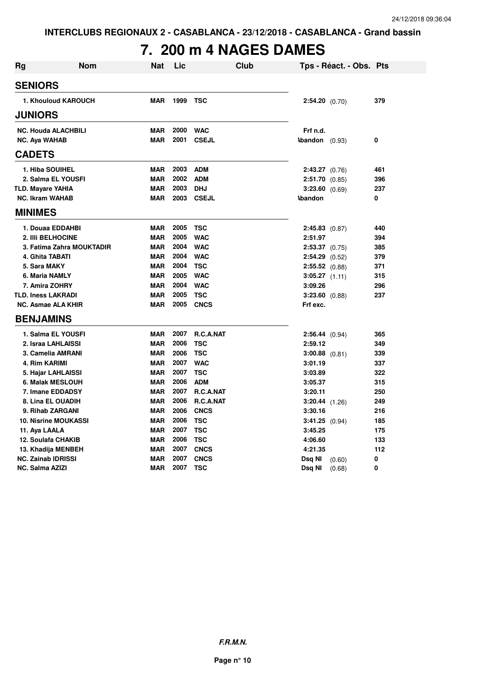## **7. 200 m 4 NAGES DAMES**

| Rg                        | <b>Nom</b>                  | Nat        | Lic  | <b>Club</b>  |                         | Tps - Réact. - Obs. Pts |     |
|---------------------------|-----------------------------|------------|------|--------------|-------------------------|-------------------------|-----|
| <b>SENIORS</b>            |                             |            |      |              |                         |                         |     |
|                           | 1. Khouloud KAROUCH         | <b>MAR</b> | 1999 | <b>TSC</b>   | 2:54.20 (0.70)          |                         | 379 |
| <b>JUNIORS</b>            |                             |            |      |              |                         |                         |     |
|                           | <b>NC. Houda ALACHBILI</b>  | <b>MAR</b> | 2000 | <b>WAC</b>   | Frf n.d.                |                         |     |
| <b>NC. Aya WAHAB</b>      |                             | <b>MAR</b> | 2001 | <b>CSEJL</b> | <b>\bandon</b> $(0.93)$ |                         | 0   |
| <b>CADETS</b>             |                             |            |      |              |                         |                         |     |
| 1. Hiba SOUIHEL           |                             | <b>MAR</b> | 2003 | <b>ADM</b>   | $2:43.27$ (0.76)        |                         | 461 |
|                           | 2. Salma EL YOUSFI          | <b>MAR</b> | 2002 | <b>ADM</b>   | $2:51.70$ $(0.85)$      |                         | 396 |
| TLD. Mayare YAHIA         |                             | <b>MAR</b> | 2003 | <b>DHJ</b>   | $3:23.60$ (0.69)        |                         | 237 |
| <b>NC. Ikram WAHAB</b>    |                             | <b>MAR</b> | 2003 | <b>CSEJL</b> | <b>\bandon</b>          |                         | 0   |
| <b>MINIMES</b>            |                             |            |      |              |                         |                         |     |
|                           | 1. Douaa EDDAHBI            | <b>MAR</b> | 2005 | <b>TSC</b>   | $2:45.83$ (0.87)        |                         | 440 |
| 2. IIIi BELHOCINE         |                             | <b>MAR</b> | 2005 | <b>WAC</b>   | 2:51.97                 |                         | 394 |
|                           | 3. Fatima Zahra MOUKTADIR   | <b>MAR</b> | 2004 | <b>WAC</b>   | $2:53.37$ $(0.75)$      |                         | 385 |
| 4. Ghita TABATI           |                             | <b>MAR</b> | 2004 | <b>WAC</b>   | $2:54.29$ $(0.52)$      |                         | 379 |
| 5. Sara MAKY              |                             | <b>MAR</b> | 2004 | <b>TSC</b>   | $2:55.52$ (0.88)        |                         | 371 |
| 6. Maria NAMLY            |                             | <b>MAR</b> | 2005 | <b>WAC</b>   | $3:05.27$ $(1.11)$      |                         | 315 |
| 7. Amira ZOHRY            |                             | <b>MAR</b> | 2004 | <b>WAC</b>   | 3:09.26                 |                         | 296 |
| <b>TLD. Iness LAKRADI</b> |                             | <b>MAR</b> | 2005 | <b>TSC</b>   | $3:23.60$ $(0.88)$      |                         | 237 |
| <b>NC. Asmae ALA KHIR</b> |                             | <b>MAR</b> | 2005 | <b>CNCS</b>  | Frf exc.                |                         |     |
| <b>BENJAMINS</b>          |                             |            |      |              |                         |                         |     |
|                           | 1. Salma EL YOUSFI          | <b>MAR</b> | 2007 | R.C.A.NAT    | 2:56.44 (0.94)          |                         | 365 |
|                           | 2. Israa LAHLAISSI          | <b>MAR</b> | 2006 | <b>TSC</b>   | 2:59.12                 |                         | 349 |
|                           | 3. Camelia AMRANI           | <b>MAR</b> | 2006 | <b>TSC</b>   | $3:00.88$ $(0.81)$      |                         | 339 |
| 4. Rim KARIMI             |                             | <b>MAR</b> | 2007 | <b>WAC</b>   | 3:01.19                 |                         | 337 |
|                           | 5. Hajar LAHLAISSI          | <b>MAR</b> | 2007 | <b>TSC</b>   | 3:03.89                 |                         | 322 |
|                           | 6. Malak MESLOUH            | <b>MAR</b> | 2006 | <b>ADM</b>   | 3:05.37                 |                         | 315 |
|                           | 7. Imane EDDADSY            | <b>MAR</b> | 2007 | R.C.A.NAT    | 3:20.11                 |                         | 250 |
|                           | 8. Lina EL OUADIH           | <b>MAR</b> | 2006 | R.C.A.NAT    | $3:20.44$ $(1.26)$      |                         | 249 |
|                           | 9. Rihab ZARGANI            | <b>MAR</b> | 2006 | <b>CNCS</b>  | 3:30.16                 |                         | 216 |
|                           | <b>10. Nisrine MOUKASSI</b> | <b>MAR</b> | 2006 | <b>TSC</b>   | $3:41.25$ (0.94)        |                         | 185 |
| 11. Aya LAALA             |                             | <b>MAR</b> | 2007 | <b>TSC</b>   | 3:45.25                 |                         | 175 |
| 12. Soulafa CHAKIB        |                             | <b>MAR</b> | 2006 | <b>TSC</b>   | 4:06.60                 |                         | 133 |
|                           | 13. Khadija MENBEH          | <b>MAR</b> | 2007 | <b>CNCS</b>  | 4:21.35                 |                         | 112 |
| <b>NC. Zainab IDRISSI</b> |                             | <b>MAR</b> | 2007 | <b>CNCS</b>  | Dsq NI                  | (0.60)                  | 0   |
| <b>NC. Salma AZIZI</b>    |                             | <b>MAR</b> | 2007 | <b>TSC</b>   | Dsq NI                  | (0.68)                  | 0   |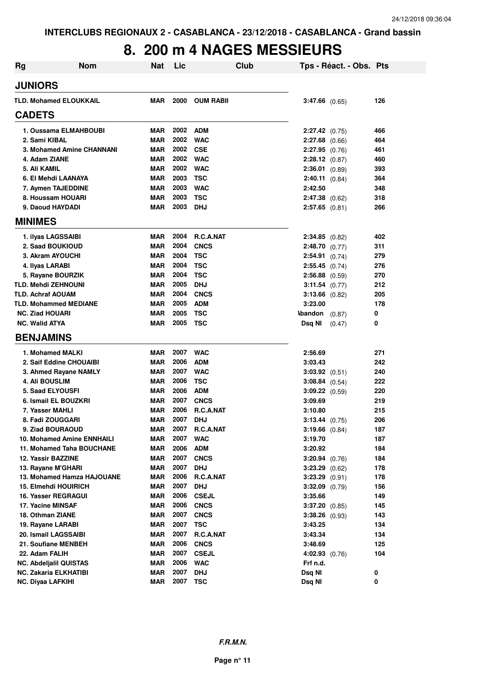#### **8. 200 m 4 NAGES MESSIEURS**

| Rg | Nom                                              | <b>Nat</b>               | Lic          | Club                    | Tps - Réact. - Obs. Pts                |            |
|----|--------------------------------------------------|--------------------------|--------------|-------------------------|----------------------------------------|------------|
|    | <b>JUNIORS</b>                                   |                          |              |                         |                                        |            |
|    | <b>TLD. Mohamed ELOUKKAIL</b>                    | <b>MAR</b>               | 2000         | <b>OUM RABII</b>        | $3:47.66$ (0.65)                       | 126        |
|    | <b>CADETS</b>                                    |                          |              |                         |                                        |            |
|    | 1. Oussama ELMAHBOUBI                            | <b>MAR</b>               | 2002         | ADM                     | 2:27.42 (0.75)                         | 466        |
|    | 2. Sami KIBAL                                    | <b>MAR</b>               | 2002         | <b>WAC</b>              | $2:27.68$ (0.66)                       | 464        |
|    | 3. Mohamed Amine CHANNANI                        | <b>MAR</b>               | 2002         | <b>CSE</b>              | $2:27.95$ (0.76)                       | 461        |
|    | 4. Adam ZIANE                                    | <b>MAR</b>               | 2002         | <b>WAC</b>              | 2:28.12 (0.87)                         | 460        |
|    | 5. Ali KAMIL                                     | <b>MAR</b>               | 2002         | <b>WAC</b>              | 2:36.01 (0.89)                         | 393        |
|    | 6. El Mehdi LAANAYA                              | <b>MAR</b>               | 2003         | <b>TSC</b>              | $2:40.11$ $(0.84)$                     | 364        |
|    | 7. Aymen TAJEDDINE                               | <b>MAR</b>               | 2003         | <b>WAC</b>              | 2:42.50                                | 348        |
|    | 8. Houssam HOUARI                                | <b>MAR</b>               | 2003         | <b>TSC</b>              | $2:47.38$ (0.62)                       | 318        |
|    | 9. Daoud HAYDADI                                 | <b>MAR</b>               | 2003         | <b>DHJ</b>              | $2:57.65$ $(0.81)$                     | 266        |
|    | <b>MINIMES</b>                                   |                          |              |                         |                                        |            |
|    | 1. ilyas LAGSSAIBI                               | <b>MAR</b>               | 2004         | R.C.A.NAT               | $2:34.85$ (0.82)                       | 402        |
|    | 2. Saad BOUKIOUD                                 | <b>MAR</b>               | 2004         | <b>CNCS</b>             | 2:48.70(0.77)                          | 311        |
|    | 3. Akram AYOUCHI                                 | <b>MAR</b>               | 2004         | <b>TSC</b>              | $2:54.91$ (0.74)                       | 279        |
|    | 4. Ilyas LARABI                                  | <b>MAR</b>               | 2004         | <b>TSC</b>              | $2:55.45$ (0.74)                       | 276        |
|    | 5. Rayane BOURZIK                                | <b>MAR</b>               | 2004         | <b>TSC</b>              | $2:56.88$ (0.59)                       | 270        |
|    | <b>TLD. Mehdi ZEHNOUNI</b>                       | <b>MAR</b>               | 2005         | <b>DHJ</b>              | 3:11.54 (0.77)                         | 212        |
|    | <b>TLD. Achraf AOUAM</b>                         | <b>MAR</b>               | 2004         | <b>CNCS</b>             | $3:13.66$ (0.82)                       | 205        |
|    | <b>TLD. Mohammed MEDIANE</b>                     | <b>MAR</b>               | 2005         | <b>ADM</b>              | 3:23.00                                | 178        |
|    | <b>NC. Ziad HOUARI</b>                           | <b>MAR</b>               | 2005         | <b>TSC</b>              | <b>Abandon</b><br>(0.87)               | 0          |
|    | <b>NC. Walid ATYA</b>                            | <b>MAR</b>               | 2005         | <b>TSC</b>              | Dsq NI<br>(0.47)                       | 0          |
|    | <b>BENJAMINS</b>                                 |                          |              |                         |                                        |            |
|    | 1. Mohamed MALKI                                 | <b>MAR</b>               | 2007         | <b>WAC</b>              | 2:56.69                                | 271        |
|    | 2. Saif Eddine CHOUAIBI                          | <b>MAR</b>               | 2006         | <b>ADM</b>              | 3:03.43                                | 242        |
|    | 3. Ahmed Rayane NAMLY                            | <b>MAR</b>               | 2007         | <b>WAC</b>              | $3:03.92$ $(0.51)$                     | 240        |
|    | <b>4. Ali BOUSLIM</b>                            | <b>MAR</b>               | 2006         | <b>TSC</b>              | $3:08.84$ $(0.54)$                     | 222        |
|    | <b>5. Saad ELYOUSFI</b>                          | <b>MAR</b>               | 2006         | <b>ADM</b>              | $3:09.22$ $(0.59)$                     | 220        |
|    | 6. Ismail EL BOUZKRI                             | <b>MAR</b>               | 2007         | <b>CNCS</b>             | 3:09.69                                | 219        |
|    | 7. Yasser MAHLI                                  | <b>MAR</b>               | 2006         | R.C.A.NAT               | 3:10.80                                | 215        |
|    | 8. Fadi ZOUGGARI                                 | <b>MAR</b>               | 2007         | <b>DHJ</b>              | $3:13.44 \quad (0.75)$                 | 206        |
|    | 9. Ziad BOURAOUD                                 | <b>MAR</b>               | 2007         | R.C.A.NAT               | $3:19.66$ $(0.84)$                     | 187        |
|    | 10. Mohamed Amine ENNHAILI                       | <b>MAR</b>               | 2007         | <b>WAC</b>              | 3:19.70                                | 187        |
|    | 11. Mohamed Taha BOUCHANE                        | <b>MAR</b>               | 2006         | <b>ADM</b>              | 3:20.92                                | 184        |
|    | 12. Yassir BAZZINE                               | <b>MAR</b>               | 2007         | <b>CNCS</b>             | $3:20.94$ (0.76)                       | 184        |
|    | 13. Rayane M'GHARI<br>13. Mohamed Hamza HAJOUANE | <b>MAR</b><br><b>MAR</b> | 2007<br>2006 | <b>DHJ</b><br>R.C.A.NAT | $3:23.29$ $(0.62)$<br>$3:23.29$ (0.91) | 178<br>178 |
|    | 15. Elmehdi HOUIRICH                             | <b>MAR</b>               | 2007         | <b>DHJ</b>              | $3:32.09$ $(0.79)$                     | 156        |
|    | 16. Yasser REGRAGUI                              | <b>MAR</b>               | 2006         | <b>CSEJL</b>            | 3:35.66                                | 149        |
|    | 17. Yacine MINSAF                                | <b>MAR</b>               | 2006         | <b>CNCS</b>             | $3:37.20$ (0.85)                       | 145        |
|    | 18. Othman ZIANE                                 | <b>MAR</b>               | 2007         | <b>CNCS</b>             | $3:38.26$ (0.93)                       | 143        |
|    | 19. Rayane LARABI                                | <b>MAR</b>               | 2007         | <b>TSC</b>              | 3:43.25                                | 134        |
|    | 20. Ismail LAGSSAIBI                             | <b>MAR</b>               | 2007         | R.C.A.NAT               | 3:43.34                                | 134        |
|    | 21. Soufiane MENBEH                              | <b>MAR</b>               | 2006         | <b>CNCS</b>             | 3:48.69                                | 125        |
|    | 22. Adam FALIH                                   | <b>MAR</b>               | 2007         | <b>CSEJL</b>            | $4:02.93$ $(0.76)$                     | 104        |
|    | <b>NC. Abdelialil QUISTAS</b>                    | <b>MAR</b>               | 2006         | <b>WAC</b>              | Frf n.d.                               |            |
|    | NC. Zakaria ELKHATIBI                            | <b>MAR</b>               | 2007         | <b>DHJ</b>              | Dsq NI                                 | 0          |
|    | <b>NC. Diyaa LAFKIHI</b>                         | <b>MAR</b>               | 2007         | <b>TSC</b>              | Dsq NI                                 | 0          |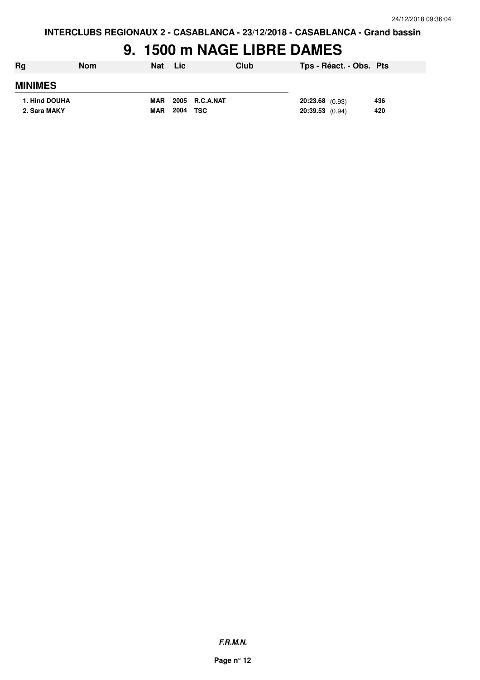## **9. 1500 m NAGE LIBRE DAMES**

| Rg             | <b>Nom</b> | <b>Nat</b> | Lic      |                | Club |                   | Tps - Réact. - Obs. Pts |     |
|----------------|------------|------------|----------|----------------|------|-------------------|-------------------------|-----|
| <b>MINIMES</b> |            |            |          |                |      |                   |                         |     |
| 1. Hind DOUHA  |            | MAR        |          | 2005 R.C.A.NAT |      | 20:23.68 (0.93)   |                         | 436 |
| 2. Sara MAKY   |            | <b>MAR</b> | 2004 TSC |                |      | $20:39.53$ (0.94) |                         | 420 |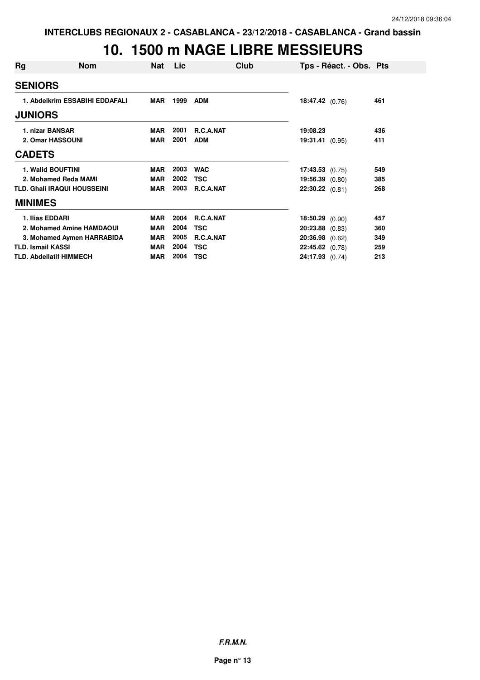#### **10. 1500 m NAGE LIBRE MESSIEURS**

| Rg             | <b>Nom</b>                         | Nat        | Lic  | Club             |                   | Tps - Réact. - Obs. Pts |     |
|----------------|------------------------------------|------------|------|------------------|-------------------|-------------------------|-----|
| <b>SENIORS</b> |                                    |            |      |                  |                   |                         |     |
|                | 1. Abdelkrim ESSABIHI EDDAFALI     | <b>MAR</b> | 1999 | <b>ADM</b>       | 18:47.42(0.76)    |                         | 461 |
| <b>JUNIORS</b> |                                    |            |      |                  |                   |                         |     |
|                | 1. nizar BANSAR                    | <b>MAR</b> | 2001 | R.C.A.NAT        | 19:08.23          |                         | 436 |
|                | 2. Omar HASSOUNI                   | <b>MAR</b> | 2001 | <b>ADM</b>       | 19:31.41 (0.95)   |                         | 411 |
| <b>CADETS</b>  |                                    |            |      |                  |                   |                         |     |
|                | <b>1. Walid BOUFTINI</b>           | <b>MAR</b> | 2003 | <b>WAC</b>       | 17:43.53(0.75)    |                         | 549 |
|                | 2. Mohamed Reda MAMI               | <b>MAR</b> | 2002 | <b>TSC</b>       | 19:56.39 (0.80)   |                         | 385 |
|                | <b>TLD. Ghali IRAQUI HOUSSEINI</b> | <b>MAR</b> | 2003 | R.C.A.NAT        | $22:30.22$ (0.81) |                         | 268 |
| <b>MINIMES</b> |                                    |            |      |                  |                   |                         |     |
|                | 1. Ilias EDDARI                    | <b>MAR</b> | 2004 | <b>R.C.A.NAT</b> | 18:50.29(0.90)    |                         | 457 |
|                | 2. Mohamed Amine HAMDAOUI          | <b>MAR</b> | 2004 | <b>TSC</b>       | 20:23.88 (0.83)   |                         | 360 |
|                | 3. Mohamed Aymen HARRABIDA         | <b>MAR</b> | 2005 | R.C.A.NAT        | $20:36.98$ (0.62) |                         | 349 |
|                | <b>TLD. Ismail KASSI</b>           | <b>MAR</b> | 2004 | <b>TSC</b>       | 22:45.62 (0.78)   |                         | 259 |
|                | <b>TLD. Abdellatif HIMMECH</b>     | <b>MAR</b> | 2004 | <b>TSC</b>       | 24:17.93 (0.74)   |                         | 213 |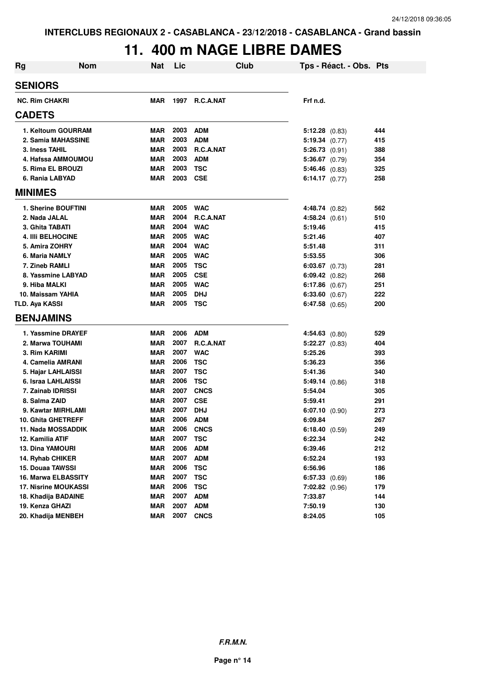#### **11. 400 m NAGE LIBRE DAMES**

| <b>Rg</b> | <b>Nom</b>                  | Nat        | Lic  | <b>Club</b>      | Tps - Réact. - Obs. Pts |     |
|-----------|-----------------------------|------------|------|------------------|-------------------------|-----|
|           | <b>SENIORS</b>              |            |      |                  |                         |     |
|           | <b>NC. Rim CHAKRI</b>       | <b>MAR</b> | 1997 | <b>R.C.A.NAT</b> | Frf n.d.                |     |
|           | <b>CADETS</b>               |            |      |                  |                         |     |
|           | 1. Keltoum GOURRAM          | <b>MAR</b> | 2003 | <b>ADM</b>       | $5:12.28$ (0.83)        | 444 |
|           | 2. Samia MAHASSINE          | <b>MAR</b> | 2003 | <b>ADM</b>       | 5:19.34(0.77)           | 415 |
|           | 3. Iness TAHIL              | <b>MAR</b> | 2003 | R.C.A.NAT        | $5:26.73$ (0.91)        | 388 |
|           | 4. Hafssa AMMOUMOU          | <b>MAR</b> | 2003 | <b>ADM</b>       | $5:36.67$ (0.79)        | 354 |
|           | 5. Rima EL BROUZI           | <b>MAR</b> | 2003 | <b>TSC</b>       | $5:46.46$ (0.83)        | 325 |
|           | 6. Rania LABYAD             | <b>MAR</b> | 2003 | <b>CSE</b>       | 6:14.17 $(0.77)$        | 258 |
|           | <b>MINIMES</b>              |            |      |                  |                         |     |
|           | 1. Sherine BOUFTINI         | <b>MAR</b> | 2005 | <b>WAC</b>       | 4:48.74 (0.82)          | 562 |
|           | 2. Nada JALAL               | <b>MAR</b> | 2004 | R.C.A.NAT        | 4:58.24 (0.61)          | 510 |
|           | 3. Ghita TABATI             | <b>MAR</b> | 2004 | <b>WAC</b>       | 5:19.46                 | 415 |
|           | <b>4. IIII BELHOCINE</b>    | <b>MAR</b> | 2005 | <b>WAC</b>       | 5:21.46                 | 407 |
|           | 5. Amira ZOHRY              | <b>MAR</b> | 2004 | <b>WAC</b>       | 5:51.48                 | 311 |
|           | 6. Maria NAMLY              | <b>MAR</b> | 2005 | <b>WAC</b>       | 5:53.55                 | 306 |
|           | 7. Zineb RAMLI              | <b>MAR</b> | 2005 | <b>TSC</b>       | $6:03.67$ $(0.73)$      | 281 |
|           | 8. Yassmine LABYAD          | <b>MAR</b> | 2005 | <b>CSE</b>       | $6:09.42$ $(0.82)$      | 268 |
|           | 9. Hiba MALKI               | <b>MAR</b> | 2005 | <b>WAC</b>       | 6:17.86 $(0.67)$        | 251 |
|           | 10. Maissam YAHIA           | <b>MAR</b> | 2005 | <b>DHJ</b>       | 6:33.60 (0.67)          | 222 |
|           | TLD. Aya KASSI              | MAR        | 2005 | TSC              | 6:47.58 $(0.65)$        | 200 |
|           | <b>BENJAMINS</b>            |            |      |                  |                         |     |
|           | 1. Yassmine DRAYEF          | <b>MAR</b> | 2006 | <b>ADM</b>       | $4:54.63$ $(0.80)$      | 529 |
|           | 2. Marwa TOUHAMI            | <b>MAR</b> | 2007 | R.C.A.NAT        | $5:22.27$ $(0.83)$      | 404 |
|           | 3. Rim KARIMI               | <b>MAR</b> | 2007 | <b>WAC</b>       | 5:25.26                 | 393 |
|           | 4. Camelia AMRANI           | <b>MAR</b> | 2006 | <b>TSC</b>       | 5:36.23                 | 356 |
|           | 5. Hajar LAHLAISSI          | <b>MAR</b> | 2007 | <b>TSC</b>       | 5:41.36                 | 340 |
|           | 6. Israa LAHLAISSI          | <b>MAR</b> | 2006 | <b>TSC</b>       | 5:49.14(0.86)           | 318 |
|           | 7. Zainab IDRISSI           | <b>MAR</b> | 2007 | <b>CNCS</b>      | 5:54.04                 | 305 |
|           | 8. Salma ZAID               | MAR        | 2007 | <b>CSE</b>       | 5:59.41                 | 291 |
|           | 9. Kawtar MIRHLAMI          | MAR        | 2007 | <b>DHJ</b>       | $6:07.10$ (0.90)        | 273 |
|           | <b>10. Ghita GHETREFF</b>   | MAR        | 2006 | <b>ADM</b>       | 6:09.84                 | 267 |
|           | 11. Nada MOSSADDIK          | <b>MAR</b> | 2006 | <b>CNCS</b>      | 6:18.40(0.59)           | 249 |
|           | 12. Kamilia ATIF            | <b>MAR</b> | 2007 | <b>TSC</b>       | 6:22.34                 | 242 |
|           | <b>13. Dina YAMOURI</b>     | <b>MAR</b> | 2006 | <b>ADM</b>       | 6:39.46                 | 212 |
|           | 14. Ryhab CHIKER            | <b>MAR</b> | 2007 | <b>ADM</b>       | 6:52.24                 | 193 |
|           | 15. Douaa TAWSSI            | <b>MAR</b> | 2006 | <b>TSC</b>       | 6:56.96                 | 186 |
|           | <b>16. Marwa ELBASSITY</b>  | <b>MAR</b> | 2007 | <b>TSC</b>       | $6:57.33$ $(0.69)$      | 186 |
|           | <b>17. Nisrine MOUKASSI</b> | <b>MAR</b> | 2006 | <b>TSC</b>       | $7:02.82$ (0.96)        | 179 |
|           | 18. Khadija BADAINE         | <b>MAR</b> | 2007 | <b>ADM</b>       | 7:33.87                 | 144 |
|           | 19. Kenza GHAZI             | <b>MAR</b> | 2007 | <b>ADM</b>       | 7:50.19                 | 130 |
|           | 20. Khadija MENBEH          | <b>MAR</b> | 2007 | <b>CNCS</b>      | 8:24.05                 | 105 |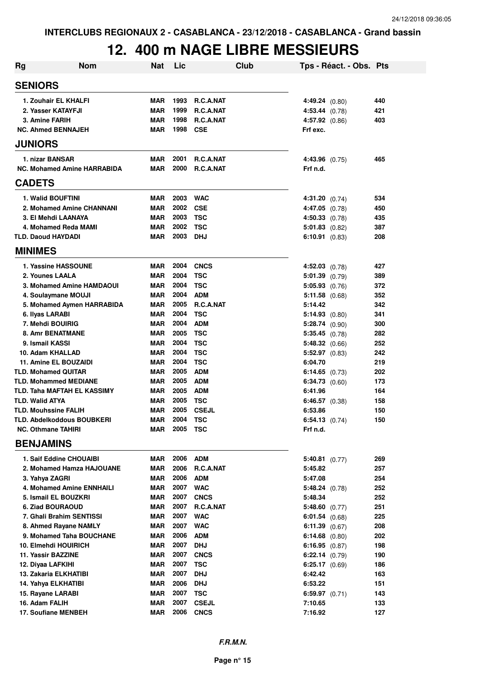## **12. 400 m NAGE LIBRE MESSIEURS**

| <b>Rg</b> | Nom                                | <b>Nat</b> | Lic      | Club             | Tps - Réact. - Obs. Pts |     |
|-----------|------------------------------------|------------|----------|------------------|-------------------------|-----|
|           | <b>SENIORS</b>                     |            |          |                  |                         |     |
|           | 1. Zouhair EL KHALFI               | <b>MAR</b> | 1993     | <b>R.C.A.NAT</b> | 4:49.24 (0.80)          | 440 |
|           | 2. Yasser KATAYFJI                 | <b>MAR</b> | 1999     | R.C.A.NAT        | 4:53.44 (0.78)          | 421 |
|           | 3. Amine FARIH                     | <b>MAR</b> | 1998     | R.C.A.NAT        | $4:57.92$ $(0.86)$      | 403 |
|           | <b>NC. Ahmed BENNAJEH</b>          | <b>MAR</b> | 1998     | <b>CSE</b>       | Frf exc.                |     |
|           | <b>JUNIORS</b>                     |            |          |                  |                         |     |
|           | 1. nizar BANSAR                    | <b>MAR</b> | 2001     | R.C.A.NAT        | 4:43.96 (0.75)          | 465 |
|           | <b>NC. Mohamed Amine HARRABIDA</b> | <b>MAR</b> | 2000     | <b>R.C.A.NAT</b> | Frf n.d.                |     |
|           | <b>CADETS</b>                      |            |          |                  |                         |     |
|           | 1. Walid BOUFTINI                  | <b>MAR</b> | 2003     | <b>WAC</b>       | 4:31.20 (0.74)          | 534 |
|           | 2. Mohamed Amine CHANNANI          | <b>MAR</b> | 2002     | <b>CSE</b>       | $4:47.05$ $(0.78)$      | 450 |
|           | 3. El Mehdi LAANAYA                | <b>MAR</b> | 2003     | <b>TSC</b>       | $4:50.33$ $(0.78)$      | 435 |
|           | 4. Mohamed Reda MAMI               | <b>MAR</b> | 2002     | <b>TSC</b>       | $5:01.83$ $(0.82)$      | 387 |
|           | <b>TLD. Daoud HAYDADI</b>          | <b>MAR</b> | 2003     | DHJ              | $6:10.91$ $(0.83)$      | 208 |
|           | <b>MINIMES</b>                     |            |          |                  |                         |     |
|           | 1. Yassine HASSOUNE                | <b>MAR</b> | 2004     | <b>CNCS</b>      | $4:52.03$ $(0.78)$      | 427 |
|           | 2. Younes LAALA                    | <b>MAR</b> | 2004     | <b>TSC</b>       | $5:01.39$ (0.79)        | 389 |
|           | 3. Mohamed Amine HAMDAOUI          | <b>MAR</b> | 2004     | <b>TSC</b>       | $5:05.93$ $(0.76)$      | 372 |
|           | 4. Soulaymane MOUJI                | <b>MAR</b> | 2004     | <b>ADM</b>       | $5:11.58$ (0.68)        | 352 |
|           | 5. Mohamed Aymen HARRABIDA         | <b>MAR</b> | 2005     | R.C.A.NAT        | 5:14.42                 | 342 |
|           | 6. Ilyas LARABI                    | <b>MAR</b> | 2004     | <b>TSC</b>       | 5:14.93(0.80)           | 341 |
|           | 7. Mehdi BOUIRIG                   | <b>MAR</b> | 2004     | <b>ADM</b>       | $5:28.74$ (0.90)        | 300 |
|           | <b>8. Amr BENATMANE</b>            | <b>MAR</b> | 2005     | <b>TSC</b>       | $5:35.45$ (0.78)        | 282 |
|           | 9. Ismail KASSI                    | <b>MAR</b> | 2004     | <b>TSC</b>       | 5:48.32 (0.66)          | 252 |
|           | 10. Adam KHALLAD                   | <b>MAR</b> | 2004     | <b>TSC</b>       | $5:52.97$ $(0.83)$      | 242 |
|           | 11. Amine EL BOUZAIDI              | <b>MAR</b> | 2004     | <b>TSC</b>       | 6:04.70                 | 219 |
|           | <b>TLD. Mohamed QUITAR</b>         | <b>MAR</b> | 2005     | <b>ADM</b>       | 6:14.65 $(0.73)$        | 202 |
|           | <b>TLD. Mohammed MEDIANE</b>       | <b>MAR</b> | 2005     | <b>ADM</b>       | $6:34.73$ $(0.60)$      | 173 |
|           | <b>TLD. Taha MAFTAH EL KASSIMY</b> | <b>MAR</b> | 2005     | <b>ADM</b>       | 6:41.96                 | 164 |
|           | <b>TLD. Walid ATYA</b>             | <b>MAR</b> | 2005     | <b>TSC</b>       | $6:46.57$ $(0.38)$      | 158 |
|           | <b>TLD. Mouhssine FALIH</b>        | <b>MAR</b> | 2005     | <b>CSEJL</b>     | 6:53.86                 | 150 |
|           | TLD. Abdelkoddous BOUBKERI         | <b>MAR</b> | 2004     | <b>TSC</b>       | $6:54.13$ $(0.74)$      | 150 |
|           | <b>NC. Othmane TAHIRI</b>          | MAR        | 2005 TSC |                  | Frf n.d.                |     |
|           | <b>BENJAMINS</b>                   |            |          |                  |                         |     |
|           | 1. Saif Eddine CHOUAIBI            | MAR        | 2006     | <b>ADM</b>       | $5:40.81$ (0.77)        | 269 |
|           | 2. Mohamed Hamza HAJOUANE          | <b>MAR</b> | 2006     | R.C.A.NAT        | 5:45.82                 | 257 |
|           | 3. Yahya ZAGRI                     | <b>MAR</b> |          | 2006 ADM         | 5:47.08                 | 254 |
|           | 4. Mohamed Amine ENNHAILI          | <b>MAR</b> |          | 2007 WAC         | $5:48.24$ (0.78)        | 252 |
|           | 5. Ismail EL BOUZKRI               | <b>MAR</b> | 2007     | <b>CNCS</b>      | 5:48.34                 | 252 |
|           | 6. Ziad BOURAOUD                   | <b>MAR</b> | 2007     | R.C.A.NAT        | $5:48.60$ (0.77)        | 251 |
|           | 7. Ghali Brahim SENTISSI           | <b>MAR</b> | 2007     | <b>WAC</b>       | $6:01.54$ $(0.68)$      | 225 |
|           | 8. Ahmed Rayane NAMLY              | <b>MAR</b> | 2007     | <b>WAC</b>       | $6:11.39$ $(0.67)$      | 208 |
|           | 9. Mohamed Taha BOUCHANE           | MAR        | 2006     | <b>ADM</b>       | $6:14.68$ $(0.80)$      | 202 |
|           | 10. Elmehdi HOUIRICH               | MAR        | 2007     | <b>DHJ</b>       | 6:16.95(0.87)           | 198 |
|           | 11. Yassir BAZZINE                 | <b>MAR</b> | 2007     | <b>CNCS</b>      | 6:22.14 (0.79)          | 190 |
|           | 12. Diyaa LAFKIHI                  | <b>MAR</b> | 2007     | <b>TSC</b>       | $6:25.17$ $(0.69)$      | 186 |
|           | 13. Zakaria ELKHATIBI              | <b>MAR</b> | 2007     | <b>DHJ</b>       | 6:42.42                 | 163 |
|           | 14. Yahya ELKHATIBI                | <b>MAR</b> | 2006     | <b>DHJ</b>       | 6:53.22                 | 151 |
|           | 15. Rayane LARABI                  | <b>MAR</b> | 2007     | <b>TSC</b>       | $6:59.97$ $(0.71)$      | 143 |
|           | 16. Adam FALIH                     | <b>MAR</b> | 2007     | <b>CSEJL</b>     | 7:10.65                 | 133 |
|           | 17. Soufiane MENBEH                | <b>MAR</b> | 2006     | <b>CNCS</b>      | 7:16.92                 | 127 |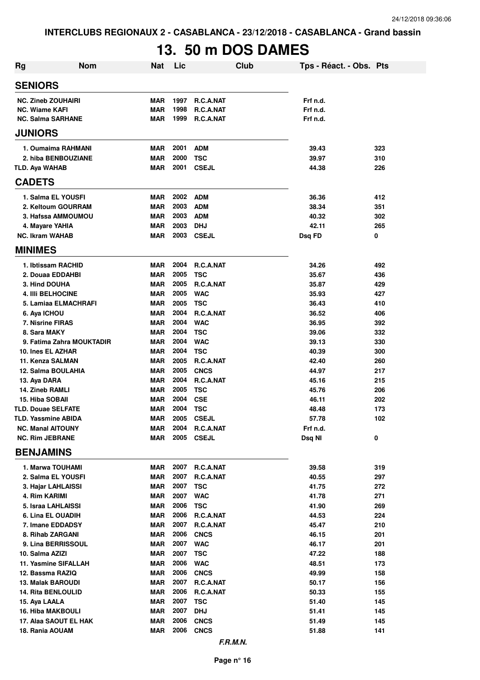# **13. 50 m DOS DAMES**

| <b>Rg</b> | <b>Nom</b>                                             | <b>Nat</b>               | Lic          |                           | <b>Club</b> | Tps - Réact. - Obs. Pts |            |
|-----------|--------------------------------------------------------|--------------------------|--------------|---------------------------|-------------|-------------------------|------------|
|           | <b>SENIORS</b>                                         |                          |              |                           |             |                         |            |
|           | <b>NC. Zineb ZOUHAIRI</b>                              | <b>MAR</b>               | 1997         | R.C.A.NAT                 |             | Frf n.d.                |            |
|           | <b>NC. Wiame KAFI</b>                                  | <b>MAR</b>               | 1998         | R.C.A.NAT                 |             | Frf n.d.                |            |
|           | <b>NC. Salma SARHANE</b>                               | <b>MAR</b>               | 1999         | R.C.A.NAT                 |             | Frf n.d.                |            |
|           | <b>JUNIORS</b>                                         |                          |              |                           |             |                         |            |
|           | 1. Oumaima RAHMANI                                     | <b>MAR</b>               | 2001         | <b>ADM</b>                |             | 39.43                   | 323        |
|           | 2. hiba BENBOUZIANE                                    | MAR                      | 2000         | <b>TSC</b>                |             | 39.97                   | 310        |
|           | <b>TLD. Aya WAHAB</b>                                  | MAR                      | 2001         | <b>CSEJL</b>              |             | 44.38                   | 226        |
|           | <b>CADETS</b>                                          |                          |              |                           |             |                         |            |
|           | 1. Salma EL YOUSFI                                     | <b>MAR</b>               | 2002         | <b>ADM</b>                |             | 36.36                   | 412        |
|           | 2. Keltoum GOURRAM                                     | <b>MAR</b>               | 2003         | <b>ADM</b>                |             | 38.34                   | 351        |
|           | 3. Hafssa AMMOUMOU                                     | <b>MAR</b>               | 2003         | <b>ADM</b>                |             | 40.32                   | 302        |
|           | 4. Mayare YAHIA                                        | MAR                      | 2003         | <b>DHJ</b>                |             | 42.11                   | 265        |
|           | <b>NC. Ikram WAHAB</b>                                 | MAR                      | 2003         | <b>CSEJL</b>              |             | Dsq FD                  | 0          |
|           | <b>MINIMES</b>                                         |                          |              |                           |             |                         |            |
|           | 1. Ibtissam RACHID                                     | <b>MAR</b>               | 2004         | R.C.A.NAT                 |             | 34.26                   | 492        |
|           | 2. Douaa EDDAHBI                                       | <b>MAR</b>               | 2005         | <b>TSC</b>                |             | 35.67                   | 436        |
|           | 3. Hind DOUHA                                          | <b>MAR</b>               | 2005         | <b>R.C.A.NAT</b>          |             | 35.87                   | 429        |
|           | <b>4. IIII BELHOCINE</b>                               | <b>MAR</b>               | 2005         | <b>WAC</b>                |             | 35.93                   | 427        |
|           | 5. Lamiaa ELMACHRAFI                                   | <b>MAR</b><br>MAR        | 2005<br>2004 | <b>TSC</b><br>R.C.A.NAT   |             | 36.43<br>36.52          | 410<br>406 |
|           | 6. Aya ICHOU<br>7. Nisrine FIRAS                       | MAR                      | 2004         | <b>WAC</b>                |             | 36.95                   | 392        |
|           | 8. Sara MAKY                                           | MAR                      | 2004         | <b>TSC</b>                |             | 39.06                   | 332        |
|           | 9. Fatima Zahra MOUKTADIR                              | MAR                      | 2004         | <b>WAC</b>                |             | 39.13                   | 330        |
|           | 10. Ines EL AZHAR                                      | MAR                      | 2004         | <b>TSC</b>                |             | 40.39                   | 300        |
|           | 11. Kenza SALMAN                                       | MAR                      | 2005         | R.C.A.NAT                 |             | 42.40                   | 260        |
|           | 12. Salma BOULAHIA                                     | <b>MAR</b>               | 2005         | <b>CNCS</b>               |             | 44.97                   | 217        |
|           | 13. Aya DARA                                           | <b>MAR</b>               | 2004         | R.C.A.NAT                 |             | 45.16                   | 215        |
|           | 14. Zineb RAMLI                                        | <b>MAR</b>               | 2005         | <b>TSC</b>                |             | 45.76                   | 206        |
|           | <b>15. Hiba SOBAII</b>                                 | <b>MAR</b>               | 2004         | <b>CSE</b>                |             | 46.11                   | 202        |
|           | <b>TLD. Douae SELFATE</b>                              | <b>MAR</b>               | 2004         | <b>TSC</b>                |             | 48.48                   | 173        |
|           | <b>TLD. Yassmine ABIDA</b><br><b>NC. Manal AITOUNY</b> | MAR<br>MAR               | 2005<br>2004 | <b>CSEJL</b><br>R.C.A.NAT |             | 57.78<br>Frf n.d.       | 102        |
|           | <b>NC. Rim JEBRANE</b>                                 | MAR                      | 2005         | <b>CSEJL</b>              |             | Dsq NI                  | 0          |
|           | <b>BENJAMINS</b>                                       |                          |              |                           |             |                         |            |
|           | 1. Marwa TOUHAMI                                       | MAR                      |              | 2007 R.C.A.NAT            |             | 39.58                   | 319        |
|           | 2. Salma EL YOUSFI                                     | MAR                      | 2007         | R.C.A.NAT                 |             | 40.55                   | 297        |
|           | 3. Hajar LAHLAISSI                                     | MAR                      | 2007         | <b>TSC</b>                |             | 41.75                   | 272        |
|           | 4. Rim KARIMI                                          | MAR                      | 2007         | <b>WAC</b>                |             | 41.78                   | 271        |
|           | 5. Israa LAHLAISSI                                     | MAR                      | 2006         | <b>TSC</b>                |             | 41.90                   | 269        |
|           | 6. Lina EL OUADIH                                      | MAR                      | 2006         | R.C.A.NAT                 |             | 44.53                   | 224        |
|           | 7. Imane EDDADSY                                       | MAR                      | 2007         | R.C.A.NAT                 |             | 45.47                   | 210        |
|           | 8. Rihab ZARGANI                                       | MAR                      | 2006         | <b>CNCS</b>               |             | 46.15                   | 201        |
|           | 9. Lina BERRISSOUL                                     | <b>MAR</b>               | 2007         | <b>WAC</b>                |             | 46.17                   | 201        |
|           | 10. Salma AZIZI                                        | <b>MAR</b>               | 2007         | <b>TSC</b>                |             | 47.22                   | 188        |
|           | 11. Yasmine SIFALLAH<br>12. Bassma RAZIQ               | <b>MAR</b><br><b>MAR</b> | 2006<br>2006 | <b>WAC</b><br><b>CNCS</b> |             | 48.51<br>49.99          | 173<br>158 |
|           | 13. Malak BAROUDI                                      | MAR                      | 2007         | R.C.A.NAT                 |             | 50.17                   | 156        |
|           | <b>14. Rita BENLOULID</b>                              | <b>MAR</b>               | 2006         | R.C.A.NAT                 |             | 50.33                   | 155        |
|           | 15. Aya LAALA                                          | MAR                      | 2007         | TSC                       |             | 51.40                   | 145        |
|           | <b>16. Hiba MAKBOULI</b>                               | MAR                      | 2007         | <b>DHJ</b>                |             | 51.41                   | 145        |
|           | 17. Alaa SAOUT EL HAK                                  | MAR                      | 2006         | <b>CNCS</b>               |             | 51.49                   | 145        |
|           | 18. Rania AOUAM                                        | MAR                      | 2006         | <b>CNCS</b>               |             | 51.88                   | 141        |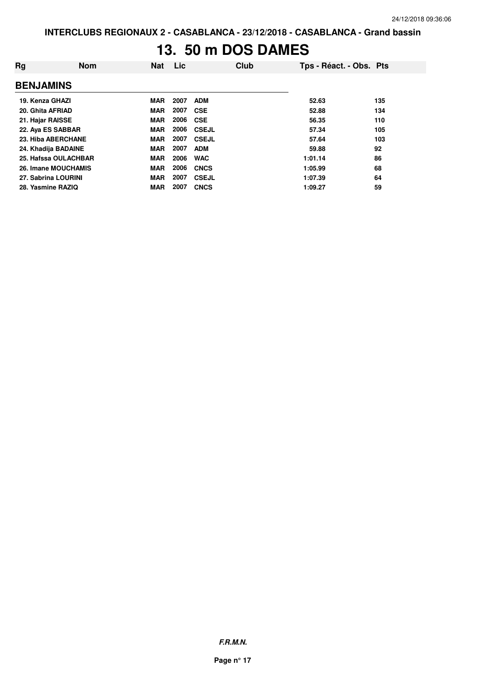#### **13. 50 m DOS DAMES**

| Rg                   | <b>Nom</b> | <b>Nat</b> | Lic  |              | Club | Tps - Réact. - Obs. Pts |     |
|----------------------|------------|------------|------|--------------|------|-------------------------|-----|
| <b>BENJAMINS</b>     |            |            |      |              |      |                         |     |
| 19. Kenza GHAZI      |            | <b>MAR</b> | 2007 | <b>ADM</b>   |      | 52.63                   | 135 |
| 20. Ghita AFRIAD     |            | <b>MAR</b> | 2007 | <b>CSE</b>   |      | 52.88                   | 134 |
| 21. Hajar RAISSE     |            | <b>MAR</b> | 2006 | <b>CSE</b>   |      | 56.35                   | 110 |
| 22. Aya ES SABBAR    |            | <b>MAR</b> | 2006 | <b>CSEJL</b> |      | 57.34                   | 105 |
| 23. Hiba ABERCHANE   |            | <b>MAR</b> | 2007 | <b>CSEJL</b> |      | 57.64                   | 103 |
| 24. Khadija BADAINE  |            | <b>MAR</b> | 2007 | <b>ADM</b>   |      | 59.88                   | 92  |
| 25. Hafssa OULACHBAR |            | <b>MAR</b> | 2006 | <b>WAC</b>   |      | 1:01.14                 | 86  |
| 26. Imane MOUCHAMIS  |            | <b>MAR</b> | 2006 | <b>CNCS</b>  |      | 1:05.99                 | 68  |
| 27. Sabrina LOURINI  |            | <b>MAR</b> | 2007 | <b>CSEJL</b> |      | 1:07.39                 | 64  |
| 28. Yasmine RAZIQ    |            | <b>MAR</b> | 2007 | <b>CNCS</b>  |      | 1:09.27                 | 59  |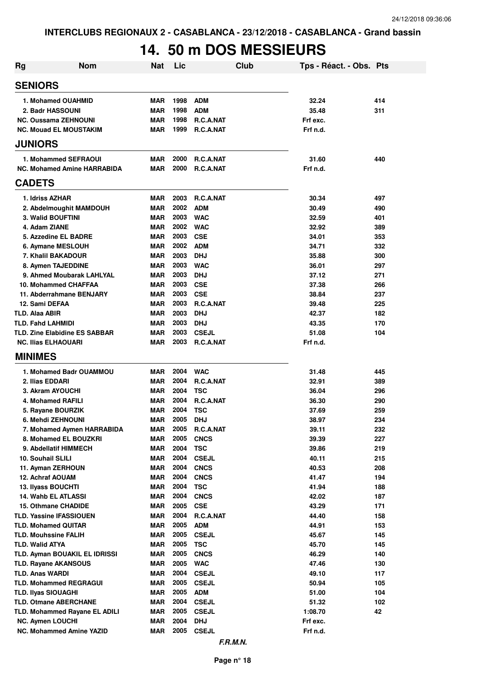## **14. 50 m DOS MESSIEURS**

| <b>Rg</b>                   | <b>Nom</b>                           | <b>Nat</b>               | Lic          | <b>Club</b>                      | Tps - Réact. - Obs. Pts |            |
|-----------------------------|--------------------------------------|--------------------------|--------------|----------------------------------|-------------------------|------------|
| <b>SENIORS</b>              |                                      |                          |              |                                  |                         |            |
|                             | 1. Mohamed OUAHMID                   | <b>MAR</b>               | 1998         | <b>ADM</b>                       | 32.24                   | 414        |
| 2. Badr HASSOUNI            |                                      | <b>MAR</b>               | 1998         | <b>ADM</b>                       | 35.48                   | 311        |
|                             | <b>NC. Oussama ZEHNOUNI</b>          | <b>MAR</b>               | 1998         | R.C.A.NAT                        | Frf exc.                |            |
|                             | <b>NC. Mouad EL MOUSTAKIM</b>        | <b>MAR</b>               | 1999         | R.C.A.NAT                        | Frf n.d.                |            |
| <b>JUNIORS</b>              |                                      |                          |              |                                  |                         |            |
|                             | 1. Mohammed SEFRAOUI                 | <b>MAR</b>               | 2000         | R.C.A.NAT                        | 31.60                   | 440        |
|                             | <b>NC. Mohamed Amine HARRABIDA</b>   | <b>MAR</b>               | 2000         | R.C.A.NAT                        | Frf n.d.                |            |
| <b>CADETS</b>               |                                      |                          |              |                                  |                         |            |
| 1. Idriss AZHAR             |                                      | <b>MAR</b>               | 2003         | R.C.A.NAT                        | 30.34                   | 497        |
|                             | 2. Abdelmoughit MAMDOUH              | <b>MAR</b>               | 2002         | <b>ADM</b>                       | 30.49                   | 490        |
| 3. Walid BOUFTINI           |                                      | <b>MAR</b>               | 2003         | <b>WAC</b>                       | 32.59                   | 401        |
| 4. Adam ZIANE               |                                      | <b>MAR</b>               | 2002         | <b>WAC</b>                       | 32.92                   | 389        |
|                             | 5. Azzedine EL BADRE                 | <b>MAR</b>               | 2003         | <b>CSE</b>                       | 34.01                   | 353        |
|                             | 6. Aymane MESLOUH                    | <b>MAR</b>               | 2002         | <b>ADM</b>                       | 34.71                   | 332        |
|                             | 7. Khalil BAKADOUR                   | <b>MAR</b>               | 2003         | <b>DHJ</b>                       | 35.88                   | 300        |
|                             | 8. Aymen TAJEDDINE                   | <b>MAR</b>               | 2003         | <b>WAC</b>                       | 36.01                   | 297        |
|                             | 9. Ahmed Moubarak LAHLYAL            | <b>MAR</b>               | 2003         | <b>DHJ</b>                       | 37.12                   | 271        |
|                             | 10. Mohammed CHAFFAA                 | <b>MAR</b>               | 2003         | <b>CSE</b>                       | 37.38                   | 266        |
|                             | 11. Abderrahmane BENJARY             | <b>MAR</b>               | 2003         | <b>CSE</b>                       | 38.84                   | 237        |
| 12. Sami DEFAA              |                                      | <b>MAR</b>               | 2003         | R.C.A.NAT                        | 39.48                   | 225        |
| TLD. Alaa ABIR              |                                      | <b>MAR</b>               | 2003         | <b>DHJ</b>                       | 42.37                   | 182        |
| <b>TLD. Fahd LAHMIDI</b>    |                                      | <b>MAR</b>               | 2003         | <b>DHJ</b>                       | 43.35                   | 170        |
| <b>NC. Ilias ELHAOUARI</b>  | <b>TLD. Zine Elabidine ES SABBAR</b> | <b>MAR</b><br><b>MAR</b> | 2003<br>2003 | <b>CSEJL</b><br><b>R.C.A.NAT</b> | 51.08<br>Frf n.d.       | 104        |
| <b>MINIMES</b>              |                                      |                          |              |                                  |                         |            |
|                             |                                      |                          |              |                                  |                         |            |
|                             | 1. Mohamed Badr OUAMMOU              | <b>MAR</b>               | 2004         | <b>WAC</b>                       | 31.48                   | 445        |
| 2. Ilias EDDARI             |                                      | <b>MAR</b><br><b>MAR</b> | 2004<br>2004 | R.C.A.NAT                        | 32.91                   | 389        |
| 3. Akram AYOUCHI            | 4. Mohamed RAFILI                    | <b>MAR</b>               | 2004         | <b>TSC</b><br>R.C.A.NAT          | 36.04<br>36.30          | 296<br>290 |
|                             | 5. Rayane BOURZIK                    | <b>MAR</b>               | 2004         | <b>TSC</b>                       | 37.69                   | 259        |
|                             | 6. Mehdi ZEHNOUNI                    | <b>MAR</b>               | 2005         | <b>DHJ</b>                       | 38.97                   | 234        |
|                             | 7. Mohamed Aymen HARRABIDA           | MAR                      | 2005         | R.C.A.NAT                        | 39.11                   | 232        |
|                             | 8. Mohamed EL BOUZKRI                | <b>MAR</b>               | 2005         | <b>CNCS</b>                      | 39.39                   | 227        |
|                             | 9. Abdellatif HIMMECH                | <b>MAR</b>               | 2004         | <b>TSC</b>                       | 39.86                   | 219        |
| 10. Souhail SLILI           |                                      | <b>MAR</b>               | 2004         | <b>CSEJL</b>                     | 40.11                   | 215        |
|                             | 11. Ayman ZERHOUN                    | <b>MAR</b>               | 2004         | <b>CNCS</b>                      | 40.53                   | 208        |
| 12. Achraf AOUAM            |                                      | <b>MAR</b>               | 2004         | <b>CNCS</b>                      | 41.47                   | 194        |
| 13. Ilyass BOUCHTI          |                                      | <b>MAR</b>               | 2004         | <b>TSC</b>                       | 41.94                   | 188        |
|                             | 14. Wahb EL ATLASSI                  | <b>MAR</b>               | 2004         | <b>CNCS</b>                      | 42.02                   | 187        |
|                             | 15. Othmane CHADIDE                  | <b>MAR</b>               | 2005         | <b>CSE</b>                       | 43.29                   | 171        |
|                             | <b>TLD. Yassine IFASSIOUEN</b>       | <b>MAR</b>               | 2004         | R.C.A.NAT                        | 44.40                   | 158        |
| <b>TLD. Mohamed QUITAR</b>  |                                      | <b>MAR</b>               | 2005         | <b>ADM</b>                       | 44.91                   | 153        |
| <b>TLD. Mouhssine FALIH</b> |                                      | <b>MAR</b>               | 2005         | <b>CSEJL</b>                     | 45.67                   | 145        |
| <b>TLD. Walid ATYA</b>      |                                      | <b>MAR</b>               | 2005         | <b>TSC</b>                       | 45.70                   | 145        |
|                             | TLD. Ayman BOUAKIL EL IDRISSI        | <b>MAR</b>               | 2005         | <b>CNCS</b>                      | 46.29                   | 140        |
|                             | <b>TLD. Rayane AKANSOUS</b>          | <b>MAR</b>               | 2005<br>2004 | <b>WAC</b>                       | 47.46                   | 130        |
| <b>TLD. Anas WARDI</b>      | <b>TLD. Mohammed REGRAGUI</b>        | <b>MAR</b><br><b>MAR</b> | 2005         | <b>CSEJL</b><br><b>CSEJL</b>     | 49.10<br>50.94          | 117<br>105 |
| <b>TLD. Ilyas SIOUAGHI</b>  |                                      | <b>MAR</b>               | 2005         | <b>ADM</b>                       | 51.00                   | 104        |
|                             | <b>TLD. Otmane ABERCHANE</b>         | <b>MAR</b>               | 2004         | <b>CSEJL</b>                     | 51.32                   | 102        |
|                             | TLD. Mohammed Rayane EL ADILI        | <b>MAR</b>               | 2005         | <b>CSEJL</b>                     | 1:08.70                 | 42         |
| <b>NC. Aymen LOUCHI</b>     |                                      | <b>MAR</b>               | 2004         | <b>DHJ</b>                       | Frf exc.                |            |
|                             | NC. Mohammed Amine YAZID             | <b>MAR</b>               | 2005         | <b>CSEJL</b>                     | Frf n.d.                |            |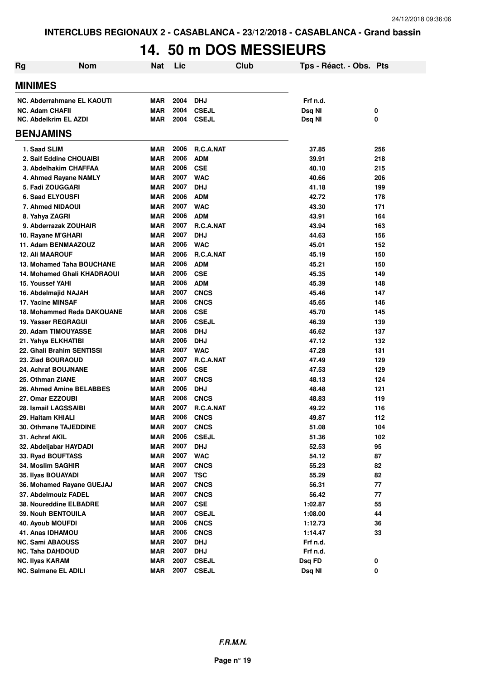## **14. 50 m DOS MESSIEURS**

| Rg                           | <b>Nom</b>                         | <b>Nat</b> | Lic  |                  | Club | Tps - Réact. - Obs. Pts |     |
|------------------------------|------------------------------------|------------|------|------------------|------|-------------------------|-----|
| <b>MINIMES</b>               |                                    |            |      |                  |      |                         |     |
|                              | <b>NC. Abderrahmane EL KAOUTI</b>  | <b>MAR</b> | 2004 | <b>DHJ</b>       |      | Frf n.d.                |     |
| <b>NC. Adam CHAFII</b>       |                                    | <b>MAR</b> | 2004 | <b>CSEJL</b>     |      | Dsq NI                  | 0   |
| <b>NC. Abdelkrim EL AZDI</b> |                                    | <b>MAR</b> | 2004 | <b>CSEJL</b>     |      | Dsq NI                  | 0   |
| <b>BENJAMINS</b>             |                                    |            |      |                  |      |                         |     |
| 1. Saad SLIM                 |                                    | <b>MAR</b> | 2006 | <b>R.C.A.NAT</b> |      | 37.85                   | 256 |
|                              | 2. Saif Eddine CHOUAIBI            | <b>MAR</b> | 2006 | <b>ADM</b>       |      | 39.91                   | 218 |
|                              | 3. Abdelhakim CHAFFAA              | <b>MAR</b> | 2006 | <b>CSE</b>       |      | 40.10                   | 215 |
|                              | 4. Ahmed Rayane NAMLY              | <b>MAR</b> | 2007 | <b>WAC</b>       |      | 40.66                   | 206 |
| 5. Fadi ZOUGGARI             |                                    | <b>MAR</b> | 2007 | <b>DHJ</b>       |      | 41.18                   | 199 |
| <b>6. Saad ELYOUSFI</b>      |                                    | <b>MAR</b> | 2006 | <b>ADM</b>       |      | 42.72                   | 178 |
| 7. Ahmed NIDAOUI             |                                    | <b>MAR</b> | 2007 | <b>WAC</b>       |      | 43.30                   | 171 |
| 8. Yahya ZAGRI               |                                    | <b>MAR</b> | 2006 | <b>ADM</b>       |      | 43.91                   | 164 |
|                              | 9. Abderrazak ZOUHAIR              | <b>MAR</b> | 2007 | R.C.A.NAT        |      | 43.94                   | 163 |
| 10. Rayane M'GHARI           |                                    | <b>MAR</b> | 2007 | <b>DHJ</b>       |      | 44.63                   | 156 |
|                              | 11. Adam BENMAAZOUZ                | <b>MAR</b> | 2006 | <b>WAC</b>       |      | 45.01                   | 152 |
| <b>12. Ali MAAROUF</b>       |                                    | <b>MAR</b> | 2006 | R.C.A.NAT        |      | 45.19                   | 150 |
|                              | 13. Mohamed Taha BOUCHANE          | <b>MAR</b> | 2006 | <b>ADM</b>       |      | 45.21                   | 150 |
|                              | <b>14. Mohamed Ghali KHADRAOUI</b> | <b>MAR</b> | 2006 | <b>CSE</b>       |      | 45.35                   | 149 |
| <b>15. Youssef YAHI</b>      |                                    | <b>MAR</b> | 2006 | <b>ADM</b>       |      | 45.39                   | 148 |
| 16. Abdelmajid NAJAH         |                                    | <b>MAR</b> | 2007 | <b>CNCS</b>      |      | 45.46                   | 147 |
| 17. Yacine MINSAF            |                                    | <b>MAR</b> | 2006 | <b>CNCS</b>      |      | 45.65                   | 146 |
|                              | 18. Mohammed Reda DAKOUANE         | <b>MAR</b> | 2006 | <b>CSE</b>       |      | 45.70                   | 145 |
| <b>19. Yasser REGRAGUI</b>   |                                    | <b>MAR</b> | 2006 | <b>CSEJL</b>     |      | 46.39                   | 139 |
| 20. Adam TIMOUYASSE          |                                    | <b>MAR</b> | 2006 | <b>DHJ</b>       |      | 46.62                   | 137 |
| 21. Yahya ELKHATIBI          |                                    | <b>MAR</b> | 2006 | <b>DHJ</b>       |      | 47.12                   | 132 |
|                              | 22. Ghali Brahim SENTISSI          | <b>MAR</b> | 2007 | <b>WAC</b>       |      | 47.28                   | 131 |
| 23. Ziad BOURAOUD            |                                    | <b>MAR</b> | 2007 | R.C.A.NAT        |      | 47.49                   | 129 |
| 24. Achraf BOUJNANE          |                                    | <b>MAR</b> | 2006 | <b>CSE</b>       |      | 47.53                   | 129 |
| 25. Othman ZIANE             |                                    | <b>MAR</b> | 2007 | <b>CNCS</b>      |      | 48.13                   | 124 |
|                              | 26. Ahmed Amine BELABBES           | <b>MAR</b> | 2006 | <b>DHJ</b>       |      | 48.48                   | 121 |
| 27. Omar EZZOUBI             |                                    | <b>MAR</b> | 2006 | <b>CNCS</b>      |      | 48.83                   | 119 |
| 28. Ismail LAGSSAIBI         |                                    | <b>MAR</b> | 2007 | R.C.A.NAT        |      | 49.22                   | 116 |
| 29. Haitam KHIALI            |                                    | <b>MAR</b> | 2006 | <b>CNCS</b>      |      | 49.87                   | 112 |
|                              | 30. Othmane TAJEDDINE              | <b>MAR</b> | 2007 | <b>CNCS</b>      |      | 51.08                   | 104 |
| 31. Achraf AKIL              |                                    | <b>MAR</b> | 2006 | <b>CSEJL</b>     |      | 51.36                   | 102 |
| 32. Abdeljabar HAYDADI       |                                    | <b>MAR</b> | 2007 | <b>DHJ</b>       |      | 52.53                   | 95  |
| 33. Ryad BOUFTASS            |                                    | <b>MAR</b> | 2007 | <b>WAC</b>       |      | 54.12                   | 87  |
| 34. Moslim SAGHIR            |                                    | <b>MAR</b> | 2007 | <b>CNCS</b>      |      | 55.23                   | 82  |
| 35. Ilyas BOUAYADI           |                                    | <b>MAR</b> | 2007 | <b>TSC</b>       |      | 55.29                   | 82  |
|                              | 36. Mohamed Rayane GUEJAJ          | <b>MAR</b> | 2007 | <b>CNCS</b>      |      | 56.31                   | 77  |
| 37. Abdelmouiz FADEL         |                                    | <b>MAR</b> | 2007 | <b>CNCS</b>      |      | 56.42                   | 77  |
|                              | 38. Noureddine ELBADRE             | <b>MAR</b> | 2007 | <b>CSE</b>       |      | 1:02.87                 | 55  |
| 39. Nouh BENTOUILA           |                                    | <b>MAR</b> | 2007 | <b>CSEJL</b>     |      | 1:08.00                 | 44  |
| 40. Ayoub MOUFDI             |                                    | <b>MAR</b> | 2006 | <b>CNCS</b>      |      | 1:12.73                 | 36  |
| 41. Anas IDHAMOU             |                                    | <b>MAR</b> | 2006 | <b>CNCS</b>      |      | 1:14.47                 | 33  |
| <b>NC. Sami ABAOUSS</b>      |                                    | <b>MAR</b> | 2007 | <b>DHJ</b>       |      | Frf n.d.                |     |
| NC. Taha DAHDOUD             |                                    | <b>MAR</b> | 2007 | <b>DHJ</b>       |      | Frf n.d.                |     |
| <b>NC. Ilyas KARAM</b>       |                                    | <b>MAR</b> | 2007 | <b>CSEJL</b>     |      | Dsq FD                  | 0   |
| <b>NC. Salmane EL ADILI</b>  |                                    | <b>MAR</b> | 2007 | <b>CSEJL</b>     |      | Dsq NI                  | 0   |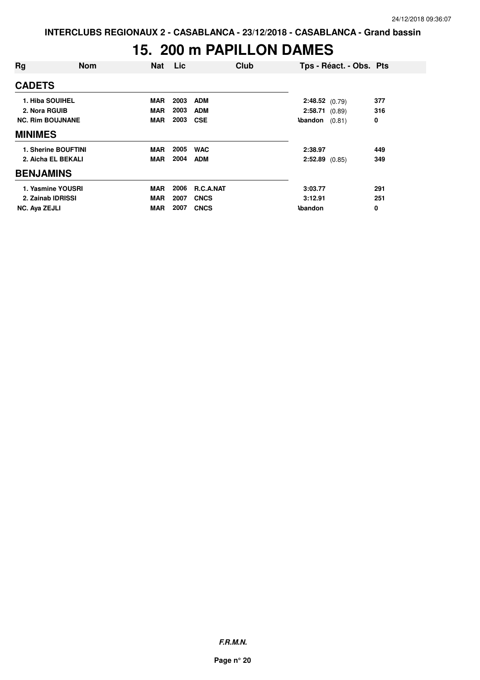## **15. 200 m PAPILLON DAMES**

| Rg                      | <b>Nom</b>          | <b>Nat</b> | Lic  | Club             |                  | Tps - Réact. - Obs. Pts |     |
|-------------------------|---------------------|------------|------|------------------|------------------|-------------------------|-----|
| <b>CADETS</b>           |                     |            |      |                  |                  |                         |     |
| 1. Hiba SOUIHEL         |                     | <b>MAR</b> | 2003 | <b>ADM</b>       | 2:48.52 (0.79)   |                         | 377 |
| 2. Nora RGUIB           |                     | <b>MAR</b> | 2003 | <b>ADM</b>       | 2:58.71(0.89)    |                         | 316 |
| <b>NC. Rim BOUJNANE</b> |                     | <b>MAR</b> | 2003 | <b>CSE</b>       | <b>Abandon</b>   | (0.81)                  | 0   |
| <b>MINIMES</b>          |                     |            |      |                  |                  |                         |     |
|                         | 1. Sherine BOUFTINI | <b>MAR</b> | 2005 | <b>WAC</b>       | 2:38.97          |                         | 449 |
|                         | 2. Aicha EL BEKALI  | <b>MAR</b> | 2004 | <b>ADM</b>       | $2:52.89$ (0.85) |                         | 349 |
| <b>BENJAMINS</b>        |                     |            |      |                  |                  |                         |     |
|                         | 1. Yasmine YOUSRI   | <b>MAR</b> | 2006 | <b>R.C.A.NAT</b> | 3:03.77          |                         | 291 |
| 2. Zainab IDRISSI       |                     | <b>MAR</b> | 2007 | <b>CNCS</b>      | 3:12.91          |                         | 251 |
| <b>NC. Aya ZEJLI</b>    |                     | <b>MAR</b> | 2007 | <b>CNCS</b>      | <b>\bandon</b>   |                         | 0   |

**F.R.M.N.**

**Page n° 20**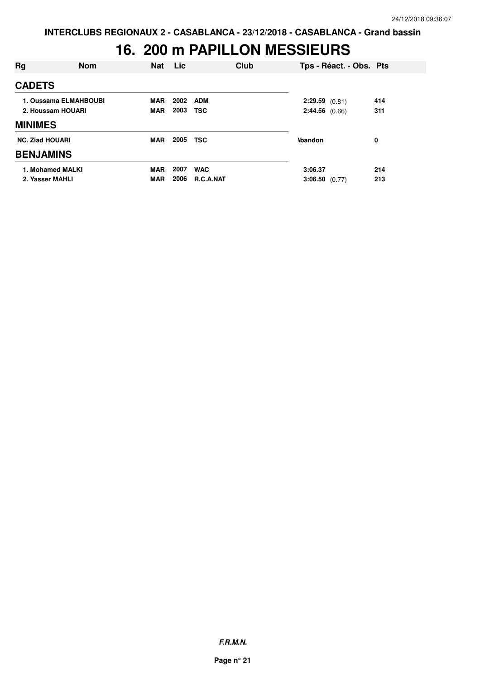### **16. 200 m PAPILLON MESSIEURS**

| Rg                     | <b>Nom</b>            | <b>Nat</b> | <b>Lic</b> | Club       |                  | Tps - Réact. - Obs. Pts |     |  |
|------------------------|-----------------------|------------|------------|------------|------------------|-------------------------|-----|--|
| <b>CADETS</b>          |                       |            |            |            |                  |                         |     |  |
|                        | 1. Oussama ELMAHBOUBI | <b>MAR</b> | 2002       | <b>ADM</b> | 2:29.59(0.81)    |                         | 414 |  |
|                        | 2. Houssam HOUARI     | <b>MAR</b> | 2003       | <b>TSC</b> | 2:44.56(0.66)    |                         | 311 |  |
| <b>MINIMES</b>         |                       |            |            |            |                  |                         |     |  |
| <b>NC. Ziad HOUARI</b> |                       | <b>MAR</b> | 2005       | <b>TSC</b> | <b>\bandon</b>   |                         | 0   |  |
| <b>BENJAMINS</b>       |                       |            |            |            |                  |                         |     |  |
|                        | 1. Mohamed MALKI      | <b>MAR</b> | 2007       | <b>WAC</b> | 3:06.37          |                         | 214 |  |
| 2. Yasser MAHLI        |                       | <b>MAR</b> | 2006       | R.C.A.NAT  | $3:06.50$ (0.77) |                         | 213 |  |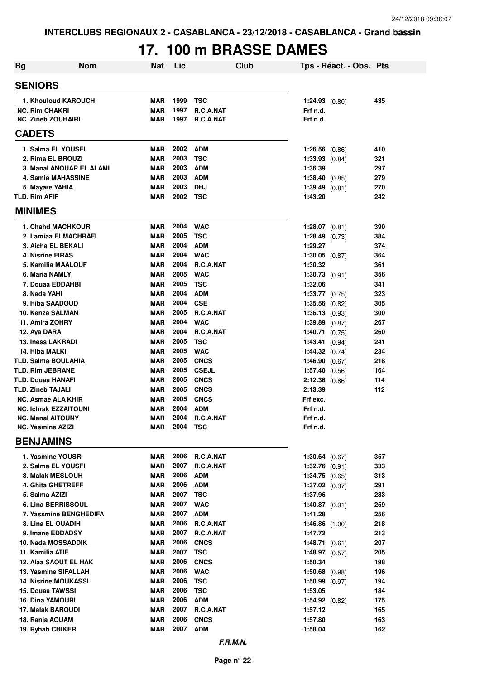## **17. 100 m BRASSE DAMES**

| <b>Rg</b>                                          | <b>Nom</b>               | Nat                      | Lic          | Club                     | Tps - Réact. - Obs. Pts       |            |
|----------------------------------------------------|--------------------------|--------------------------|--------------|--------------------------|-------------------------------|------------|
| <b>SENIORS</b>                                     |                          |                          |              |                          |                               |            |
| 1. Khouloud KAROUCH                                |                          | <b>MAR</b>               | 1999         | TSC                      | $1:24.93$ (0.80)              | 435        |
| <b>NC. Rim CHAKRI</b>                              |                          | <b>MAR</b>               | 1997         | <b>R.C.A.NAT</b>         | Frf n.d.                      |            |
| <b>NC. Zineb ZOUHAIRI</b>                          |                          | <b>MAR</b>               | 1997         | R.C.A.NAT                | Frf n.d.                      |            |
| <b>CADETS</b>                                      |                          |                          |              |                          |                               |            |
| 1. Salma EL YOUSFI                                 |                          | <b>MAR</b>               | 2002         | ADM                      | $1:26.56$ $(0.86)$            | 410        |
| 2. Rima EL BROUZI                                  |                          | <b>MAR</b>               | 2003         | <b>TSC</b>               | $1:33.93$ $(0.84)$            | 321        |
|                                                    | 3. Manal ANOUAR EL ALAMI | <b>MAR</b>               | 2003         | <b>ADM</b>               | 1:36.39                       | 297        |
| 4. Samia MAHASSINE                                 |                          | <b>MAR</b>               | 2003         | ADM                      | 1:38.40 (0.85)                | 279        |
| 5. Mayare YAHIA                                    |                          | <b>MAR</b>               | 2003         | <b>DHJ</b>               | 1:39.49(0.81)                 | 270        |
| <b>TLD. Rim AFIF</b>                               |                          | <b>MAR</b>               | 2002         | <b>TSC</b>               | 1:43.20                       | 242        |
| <b>MINIMES</b>                                     |                          |                          |              |                          |                               |            |
| <b>1. Chahd MACHKOUR</b>                           |                          | <b>MAR</b>               |              | 2004 WAC                 | $1:28.07$ $(0.81)$            | 390        |
| 2. Lamiaa ELMACHRAFI                               |                          | <b>MAR</b>               | 2005         | <b>TSC</b>               | $1:28.49$ (0.73)              | 384        |
| 3. Aicha EL BEKALI                                 |                          | <b>MAR</b>               | 2004         | <b>ADM</b>               | 1:29.27                       | 374        |
| 4. Nisrine FIRAS                                   |                          | <b>MAR</b>               | 2004         | <b>WAC</b>               | $1:30.05$ $(0.87)$            | 364        |
| <b>5. Kamilia MAALOUF</b>                          |                          | <b>MAR</b>               | 2004         | R.C.A.NAT                | 1:30.32                       | 361        |
| 6. Maria NAMLY<br>7. Douaa EDDAHBI                 |                          | <b>MAR</b><br><b>MAR</b> | 2005<br>2005 | <b>WAC</b><br><b>TSC</b> | $1:30.73$ $(0.91)$<br>1:32.06 | 356<br>341 |
| 8. Nada YAHI                                       |                          | <b>MAR</b>               | 2004         | <b>ADM</b>               | $1:33.77$ (0.75)              | 323        |
| 9. Hiba SAADOUD                                    |                          | <b>MAR</b>               | 2004 CSE     |                          | $1:35.56$ $(0.82)$            | 305        |
| 10. Kenza SALMAN                                   |                          | <b>MAR</b>               | 2005         | R.C.A.NAT                | $1:36.13$ (0.93)              | 300        |
| 11. Amira ZOHRY                                    |                          | MAR                      | 2004         | <b>WAC</b>               | $1:39.89$ $(0.87)$            | 267        |
| 12. Aya DARA                                       |                          | <b>MAR</b>               | 2004         | R.C.A.NAT                | $1:40.71$ (0.75)              | 260        |
| <b>13. Iness LAKRADI</b>                           |                          | <b>MAR</b>               | 2005         | <b>TSC</b>               | 1:43.41 (0.94)                | 241        |
| 14. Hiba MALKI                                     |                          | <b>MAR</b>               | 2005         | <b>WAC</b>               | $1:44.32$ (0.74)              | 234        |
| <b>TLD. Salma BOULAHIA</b>                         |                          | <b>MAR</b>               | 2005         | <b>CNCS</b>              | 1:46.90(0.67)                 | 218        |
| <b>TLD. Rim JEBRANE</b>                            |                          | <b>MAR</b>               | 2005         | CSEJL                    | 1:57.40 (0.56)                | 164        |
| <b>TLD. Douaa HANAFI</b>                           |                          | <b>MAR</b>               |              | 2005 CNCS                | $2:12.36$ (0.86)              | 114        |
| <b>TLD. Zineb TAJALI</b>                           |                          | <b>MAR</b>               |              | 2005 CNCS                | 2:13.39                       | 112        |
| NC. Asmae ALA KHIR<br><b>NC. Ichrak EZZAITOUNI</b> |                          | <b>MAR</b><br><b>MAR</b> | 2004         | 2005 CNCS<br><b>ADM</b>  | Frf exc.<br>Frf n.d.          |            |
| <b>NC. Manal AITOUNY</b>                           |                          | MAR                      |              | 2004 R.C.A.NAT           | Frf n.d.                      |            |
| <b>NC. Yasmine AZIZI</b>                           |                          | <b>MAR</b>               | 2004         | <b>TSC</b>               | Frf n.d.                      |            |
| <b>BENJAMINS</b>                                   |                          |                          |              |                          |                               |            |
| 1. Yasmine YOUSRI                                  |                          | MAR                      | 2006         | R.C.A.NAT                | $1:30.64$ (0.67)              | 357        |
| 2. Salma EL YOUSFI                                 |                          | MAR                      | 2007         | R.C.A.NAT                | $1:32.76$ (0.91)              | 333        |
| 3. Malak MESLOUH                                   |                          | <b>MAR</b>               | 2006         | <b>ADM</b>               | $1:34.75$ (0.65)              | 313        |
| 4. Ghita GHETREFF                                  |                          | <b>MAR</b>               | 2006         | <b>ADM</b>               | $1:37.02$ (0.37)              | 291        |
| 5. Salma AZIZI                                     |                          | <b>MAR</b>               | 2007         | <b>TSC</b>               | 1:37.96                       | 283        |
| 6. Lina BERRISSOUL                                 |                          | <b>MAR</b>               | 2007         | <b>WAC</b>               | $1:40.87$ (0.91)              | 259        |
|                                                    | 7. Yassmine BENGHEDIFA   | <b>MAR</b>               | 2007<br>2006 | <b>ADM</b>               | 1:41.28                       | 256        |
| 8. Lina EL OUADIH<br>9. Imane EDDADSY              |                          | MAR<br><b>MAR</b>        | 2007         | R.C.A.NAT<br>R.C.A.NAT   | 1:46.86 $(1.00)$<br>1:47.72   | 218<br>213 |
| 10. Nada MOSSADDIK                                 |                          | <b>MAR</b>               | 2006         | <b>CNCS</b>              | 1:48.71(0.61)                 | 207        |
| 11. Kamilia ATIF                                   |                          | <b>MAR</b>               | 2007         | <b>TSC</b>               | $1:48.97$ (0.57)              | 205        |
| 12. Alaa SAOUT EL HAK                              |                          | <b>MAR</b>               | 2006         | <b>CNCS</b>              | 1:50.34                       | 198        |
| 13. Yasmine SIFALLAH                               |                          | MAR                      | 2006         | <b>WAC</b>               | $1:50.68$ (0.98)              | 196        |
| <b>14. Nisrine MOUKASSI</b>                        |                          | <b>MAR</b>               | 2006         | <b>TSC</b>               | $1:50.99$ (0.97)              | 194        |
| 15. Douaa TAWSSI                                   |                          | <b>MAR</b>               | 2006         | <b>TSC</b>               | 1:53.05                       | 184        |
| <b>16. Dina YAMOURI</b>                            |                          | <b>MAR</b>               | 2006         | <b>ADM</b>               | $1:54.92$ (0.82)              | 175        |
| 17. Malak BAROUDI                                  |                          | <b>MAR</b>               | 2007         | R.C.A.NAT                | 1:57.12                       | 165        |
| 18. Rania AOUAM                                    |                          | <b>MAR</b>               | 2006         | <b>CNCS</b>              | 1:57.80                       | 163        |
| 19. Ryhab CHIKER                                   |                          | <b>MAR</b>               | 2007         | <b>ADM</b>               | 1:58.04                       | 162        |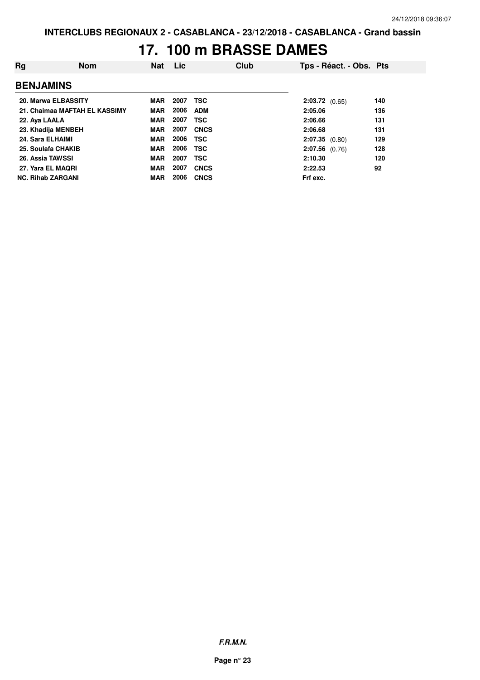#### **17. 100 m BRASSE DAMES**

| Rg                      | <b>Nom</b>                    | <b>Nat</b> | <b>Lic</b> | Club        |                  | Tps - Réact. - Obs. Pts |     |
|-------------------------|-------------------------------|------------|------------|-------------|------------------|-------------------------|-----|
| <b>BENJAMINS</b>        |                               |            |            |             |                  |                         |     |
|                         | 20. Marwa ELBASSITY           | MAR        | 2007       | <b>TSC</b>  | $2:03.72$ (0.65) |                         | 140 |
|                         | 21. Chaimaa MAFTAH EL KASSIMY | MAR        | 2006       | <b>ADM</b>  | 2:05.06          |                         | 136 |
| 22. Aya LAALA           |                               | <b>MAR</b> | 2007       | <b>TSC</b>  | 2:06.66          |                         | 131 |
|                         | 23. Khadija MENBEH            | <b>MAR</b> | 2007       | <b>CNCS</b> | 2:06.68          |                         | 131 |
| 24. Sara ELHAIMI        |                               | <b>MAR</b> | 2006       | <b>TSC</b>  | $2:07.35$ (0.80) |                         | 129 |
|                         | 25. Soulafa CHAKIB            | <b>MAR</b> | 2006       | <b>TSC</b>  | $2:07.56$ (0.76) |                         | 128 |
| <b>26. Assia TAWSSI</b> |                               | <b>MAR</b> | 2007       | <b>TSC</b>  | 2:10.30          |                         | 120 |
|                         | 27. Yara EL MAQRI             | <b>MAR</b> | 2007       | <b>CNCS</b> | 2:22.53          |                         | 92  |
|                         | <b>NC. Rihab ZARGANI</b>      | <b>MAR</b> | 2006       | <b>CNCS</b> | Frf exc.         |                         |     |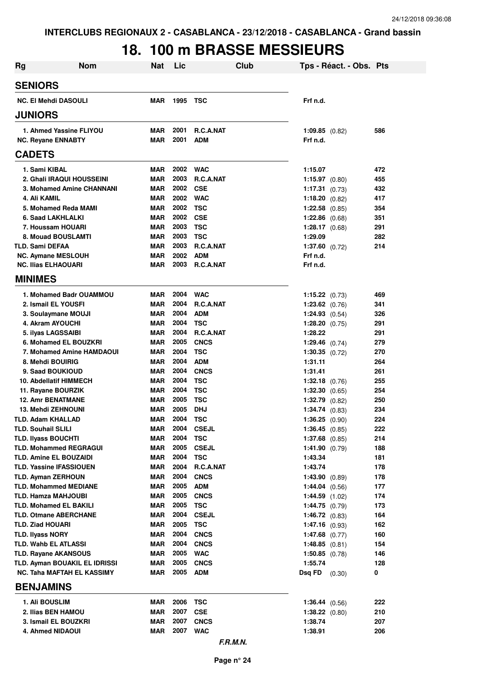### **18. 100 m BRASSE MESSIEURS**

| <b>Rg</b>                                          | <b>Nom</b>                        | <b>Nat</b>               | Lic          | Club                      |                                          | Tps - Réact. - Obs. Pts |            |
|----------------------------------------------------|-----------------------------------|--------------------------|--------------|---------------------------|------------------------------------------|-------------------------|------------|
| <b>SENIORS</b>                                     |                                   |                          |              |                           |                                          |                         |            |
| <b>NC. El Mehdi DASOULI</b>                        |                                   | MAR                      | 1995         | TSC                       | Frf n.d.                                 |                         |            |
| <b>JUNIORS</b>                                     |                                   |                          |              |                           |                                          |                         |            |
|                                                    | 1. Ahmed Yassine FLIYOU           | MAR                      | 2001         | <b>R.C.A.NAT</b>          | $1:09.85$ $(0.82)$                       |                         | 586        |
| <b>NC. Reyane ENNABTY</b>                          |                                   | <b>MAR</b>               | 2001         | <b>ADM</b>                | Frf n.d.                                 |                         |            |
| <b>CADETS</b>                                      |                                   |                          |              |                           |                                          |                         |            |
| 1. Sami KIBAL                                      |                                   | <b>MAR</b>               | 2002         | WAC                       | 1:15.07                                  |                         | 472        |
|                                                    | 2. Ghali IRAQUI HOUSSEINI         | <b>MAR</b>               | 2003         | R.C.A.NAT                 | $1:15.97$ (0.80)                         |                         | 455        |
|                                                    | 3. Mohamed Amine CHANNANI         | <b>MAR</b>               | 2002         | <b>CSE</b>                | 1:17.31(0.73)                            |                         | 432        |
| 4. Ali KAMIL                                       |                                   | <b>MAR</b>               | 2002         | <b>WAC</b>                | 1:18.20 $(0.82)$                         |                         | 417        |
| 5. Mohamed Reda MAMI                               |                                   | <b>MAR</b>               | 2002         | TSC                       | 1:22.58 $(0.85)$                         |                         | 354        |
| 6. Saad LAKHLALKI                                  |                                   | <b>MAR</b>               | 2002         | <b>CSE</b>                | $1:22.86$ (0.68)                         |                         | 351        |
| 7. Houssam HOUARI                                  |                                   | <b>MAR</b>               | 2003         | <b>TSC</b>                | 1:28.17 $(0.68)$                         |                         | 291        |
| 8. Mouad BOUSLAMTI<br><b>TLD. Sami DEFAA</b>       |                                   | <b>MAR</b><br><b>MAR</b> | 2003<br>2003 | <b>TSC</b><br>R.C.A.NAT   | 1:29.09                                  |                         | 282        |
| <b>NC. Aymane MESLOUH</b>                          |                                   | <b>MAR</b>               | 2002         | <b>ADM</b>                | $1:37.60$ (0.72)<br>Frf n.d.             |                         | 214        |
| <b>NC. Ilias ELHAOUARI</b>                         |                                   | MAR                      | 2003         | R.C.A.NAT                 | Frf n.d.                                 |                         |            |
| <b>MINIMES</b>                                     |                                   |                          |              |                           |                                          |                         |            |
|                                                    | 1. Mohamed Badr OUAMMOU           | <b>MAR</b>               |              | 2004 WAC                  | $1:15.22$ (0.73)                         |                         | 469        |
| 2. Ismail EL YOUSFI                                |                                   | MAR                      | 2004         | <b>R.C.A.NAT</b>          | $1:23.62$ (0.76)                         |                         | 341        |
| 3. Soulaymane MOUJI                                |                                   | MAR                      | 2004         | <b>ADM</b>                | $1:24.93$ $(0.54)$                       |                         | 326        |
| 4. Akram AYOUCHI                                   |                                   | <b>MAR</b>               | 2004         | <b>TSC</b>                | $1:28.20$ (0.75)                         |                         | 291        |
| 5. ilyas LAGSSAIBI                                 |                                   | <b>MAR</b>               | 2004         | R.C.A.NAT                 | 1:28.22                                  |                         | 291        |
|                                                    | 6. Mohamed EL BOUZKRI             | MAR                      | 2005         | <b>CNCS</b>               | 1:29.46 $(0.74)$                         |                         | 279        |
|                                                    | 7. Mohamed Amine HAMDAOUI         | MAR                      | 2004         | <b>TSC</b>                | $1:30.35$ (0.72)                         |                         | 270        |
| 8. Mehdi BOUIRIG                                   |                                   | MAR                      | 2004         | <b>ADM</b>                | 1:31.11                                  |                         | 264        |
| 9. Saad BOUKIOUD                                   |                                   | MAR                      | 2004         | <b>CNCS</b>               | 1:31.41                                  |                         | 261        |
| 10. Abdellatif HIMMECH                             |                                   | MAR                      | 2004<br>2004 | <b>TSC</b>                | $1:32.18$ (0.76)                         |                         | 255        |
| 11. Rayane BOURZIK<br><b>12. Amr BENATMANE</b>     |                                   | MAR<br>MAR               | 2005         | <b>TSC</b><br><b>TSC</b>  | $1:32.30$ $(0.65)$<br>$1:32.79$ $(0.82)$ |                         | 254<br>250 |
| <b>13. Mehdi ZEHNOUNI</b>                          |                                   | <b>MAR</b>               | 2005         | <b>DHJ</b>                | $1:34.74$ $(0.83)$                       |                         | 234        |
| TLD. Adam KHALLAD                                  |                                   | MAR                      | 2004         | <b>TSC</b>                | 1:36.25(0.90)                            |                         | 224        |
| <b>TLD. Souhail SLILI</b>                          |                                   | MAR                      | 2004         | <b>CSEJL</b>              | $1:36.45$ (0.85)                         |                         | 222        |
| <b>TLD. Ilyass BOUCHTI</b>                         |                                   | MAR                      | 2004         | <b>TSC</b>                | $1:37.68$ (0.85)                         |                         | 214        |
| <b>TLD. Mohammed REGRAGUI</b>                      |                                   | MAR                      | 2005         | <b>CSEJL</b>              | 1:41.90 $(0.79)$                         |                         | 188        |
| <b>TLD. Amine EL BOUZAIDI</b>                      |                                   | <b>MAR</b>               | 2004         | <b>TSC</b>                | 1:43.34                                  |                         | 181        |
| <b>TLD. Yassine IFASSIOUEN</b>                     |                                   | <b>MAR</b>               | 2004         | R.C.A.NAT                 | 1:43.74                                  |                         | 178        |
| <b>TLD. Ayman ZERHOUN</b>                          |                                   | MAR                      | 2004         | <b>CNCS</b>               | 1:43.90(0.89)                            |                         | 178        |
| <b>TLD. Mohammed MEDIANE</b>                       |                                   | MAR                      | 2005         | <b>ADM</b>                | $1:44.04$ (0.56)                         |                         | 177        |
| TLD. Hamza MAHJOUBI                                |                                   | <b>MAR</b>               | 2005         | <b>CNCS</b>               | $1:44.59$ $(1.02)$                       |                         | 174        |
| <b>TLD. Mohamed EL BAKILI</b>                      |                                   | <b>MAR</b>               | 2005         | <b>TSC</b>                | 1:44.75(0.79)                            |                         | 173        |
| <b>TLD. Otmane ABERCHANE</b>                       |                                   | MAR                      | 2004         | <b>CSEJL</b>              | 1:46.72(0.83)                            |                         | 164        |
| <b>TLD. Ziad HOUARI</b><br><b>TLD. Ilyass NORY</b> |                                   | MAR<br>MAR               | 2005<br>2004 | <b>TSC</b><br><b>CNCS</b> | 1:47.16(0.93)<br>$1:47.68$ (0.77)        |                         | 162<br>160 |
| TLD. Wahb EL ATLASSI                               |                                   | MAR                      | 2004         | <b>CNCS</b>               | 1:48.85(0.81)                            |                         | 154        |
| <b>TLD. Rayane AKANSOUS</b>                        |                                   | <b>MAR</b>               | 2005         | <b>WAC</b>                | $1:50.85$ (0.78)                         |                         | 146        |
|                                                    | TLD. Ayman BOUAKIL EL IDRISSI     | <b>MAR</b>               | 2005         | <b>CNCS</b>               | 1:55.74                                  |                         | 128        |
|                                                    | <b>NC. Taha MAFTAH EL KASSIMY</b> | MAR                      | 2005         | <b>ADM</b>                | Dsg FD                                   | (0.30)                  | 0          |
| <b>BENJAMINS</b>                                   |                                   |                          |              |                           |                                          |                         |            |
| 1. Ali BOUSLIM                                     |                                   | <b>MAR</b>               | 2006         | <b>TSC</b>                | 1:36.44 (0.56)                           |                         | 222        |
| 2. Ilias BEN HAMOU                                 |                                   | MAR                      | 2007         | <b>CSE</b>                | $1:38.22$ (0.80)                         |                         | 210        |
| 3. Ismail EL BOUZKRI                               |                                   | <b>MAR</b>               | 2007         | <b>CNCS</b>               | 1:38.74                                  |                         | 207        |
| 4. Ahmed NIDAOUI                                   |                                   | <b>MAR</b>               | 2007         | <b>WAC</b>                | 1:38.91                                  |                         | 206        |